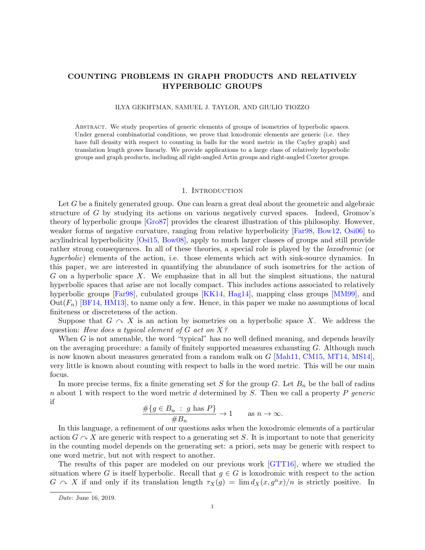# COUNTING PROBLEMS IN GRAPH PRODUCTS AND RELATIVELY HYPERBOLIC GROUPS

### ILYA GEKHTMAN, SAMUEL J. TAYLOR, AND GIULIO TIOZZO

Abstract. We study properties of generic elements of groups of isometries of hyperbolic spaces. Under general combinatorial conditions, we prove that loxodromic elements are generic (i.e. they have full density with respect to counting in balls for the word metric in the Cayley graph) and translation length grows linearly. We provide applications to a large class of relatively hyperbolic groups and graph products, including all right-angled Artin groups and right-angled Coxeter groups.

#### 1. INTRODUCTION

Let G be a finitely generated group. One can learn a great deal about the geometric and algebraic structure of G by studying its actions on various negatively curved spaces. Indeed, Gromov's theory of hyperbolic groups [\[Gro87\]](#page-35-0) provides the clearest illustration of this philosophy. However, weaker forms of negative curvature, ranging from relative hyperbolicity [\[Far98,](#page-35-1) [Bow12,](#page-34-0) [Osi06\]](#page-36-0) to acylindrical hyperbolicity [\[Osi15,](#page-36-1) [Bow08\]](#page-34-1), apply to much larger classes of groups and still provide rather strong consequences. In all of these theories, a special role is played by the *loxodromic* (or hyperbolic) elements of the action, i.e. those elements which act with sink-source dynamics. In this paper, we are interested in quantifying the abundance of such isometries for the action of  $G$  on a hyperbolic space  $X$ . We emphasize that in all but the simplest situations, the natural hyperbolic spaces that arise are not locally compact. This includes actions associated to relatively hyperbolic groups [\[Far98\]](#page-35-1), cubulated groups [\[KK14,](#page-35-2) [Hag14\]](#page-35-3), mapping class groups [\[MM99\]](#page-36-2), and  $Out(F_n)$  [\[BF14,](#page-34-2) [HM13\]](#page-35-4), to name only a few. Hence, in this paper we make no assumptions of local finiteness or discreteness of the action.

Suppose that  $G \curvearrowright X$  is an action by isometries on a hyperbolic space X. We address the question: How does a typical element of G act on  $X$ ?

When G is not amenable, the word "typical" has no well defined meaning, and depends heavily on the averaging procedure: a family of finitely supported measures exhausting  $G$ . Although much is now known about measures generated from a random walk on  $G$  [\[Mah11,](#page-35-5) [CM15,](#page-34-3) [MT14,](#page-36-3) [MS14\]](#page-36-4), very little is known about counting with respect to balls in the word metric. This will be our main focus.

In more precise terms, fix a finite generating set S for the group G. Let  $B_n$  be the ball of radius n about 1 with respect to the word metric d determined by  $S$ . Then we call a property  $P$  generic if

$$
\frac{\#\{g \in B_n : g \text{ has } P\}}{\#B_n} \to 1 \quad \text{as } n \to \infty.
$$

In this language, a refinement of our questions asks when the loxodromic elements of a particular action  $G \cap X$  are generic with respect to a generating set S. It is important to note that genericity in the counting model depends on the generating set: a priori, sets may be generic with respect to one word metric, but not with respect to another.

The results of this paper are modeled on our previous work [\[GTT16\]](#page-35-6), where we studied the situation where G is itself hyperbolic. Recall that  $g \in G$  is loxodromic with respect to the action  $G \cap X$  if and only if its translation length  $\tau_X(g) = \lim d_X(x, g^n x)/n$  is strictly positive. In

Date: June 16, 2019.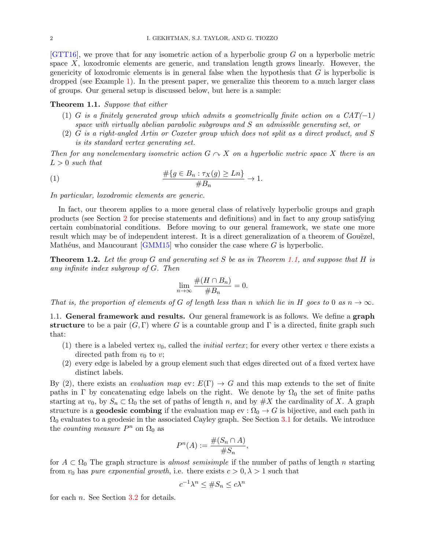$[GTT16]$ , we prove that for any isometric action of a hyperbolic group G on a hyperbolic metric space  $X$ , loxodromic elements are generic, and translation length grows linearly. However, the genericity of loxodromic elements is in general false when the hypothesis that  $G$  is hyperbolic is dropped (see Example [1\)](#page-4-0). In the present paper, we generalize this theorem to a much larger class of groups. Our general setup is discussed below, but here is a sample:

### <span id="page-1-0"></span>Theorem 1.1. Suppose that either

- (1) G is a finitely generated group which admits a geometrically finite action on a  $CAT(-1)$ space with virtually abelian parabolic subgroups and S an admissible generating set, or
- (2) G is a right-angled Artin or Coxeter group which does not split as a direct product, and S is its standard vertex generating set.

Then for any nonelementary isometric action  $G \curvearrowright X$  on a hyperbolic metric space X there is an  $L > 0$  such that

(1) 
$$
\frac{\#\{g \in B_n : \tau_X(g) \geq Ln\}}{\#B_n} \to 1.
$$

In particular, loxodromic elements are generic.

In fact, our theorem applies to a more general class of relatively hyperbolic groups and graph products (see Section [2](#page-3-0) for precise statements and definitions) and in fact to any group satisfying certain combinatorial conditions. Before moving to our general framework, we state one more result which may be of independent interest. It is a direct generalization of a theorem of Gouëzel, Mathéus, and Maucourant  $\lfloor GMM15 \rfloor$  who consider the case where G is hyperbolic.

<span id="page-1-2"></span>**Theorem 1.2.** Let the group G and generating set S be as in Theorem [1.1,](#page-1-0) and suppose that H is any infinite index subgroup of G. Then

<span id="page-1-1"></span>
$$
\lim_{n \to \infty} \frac{\#(H \cap B_n)}{\#B_n} = 0.
$$

That is, the proportion of elements of G of length less than n which lie in H goes to 0 as  $n \to \infty$ .

1.1. General framework and results. Our general framework is as follows. We define a graph structure to be a pair  $(G, \Gamma)$  where G is a countable group and  $\Gamma$  is a directed, finite graph such that:

- (1) there is a labeled vertex  $v_0$ , called the *initial vertex*; for every other vertex v there exists a directed path from  $v_0$  to  $v$ ;
- (2) every edge is labeled by a group element such that edges directed out of a fixed vertex have distinct labels.

By (2), there exists an *evaluation map* ev:  $E(\Gamma) \rightarrow G$  and this map extends to the set of finite paths in Γ by concatenating edge labels on the right. We denote by  $\Omega_0$  the set of finite paths starting at  $v_0$ , by  $S_n \subset \Omega_0$  the set of paths of length n, and by  $\#X$  the cardinality of X. A graph structure is a **geodesic combing** if the evaluation map  $ev : \Omega_0 \to G$  is bijective, and each path in  $\Omega_0$  evaluates to a geodesic in the associated Cayley graph. See Section [3.1](#page-7-0) for details. We introduce the *counting measure*  $P^n$  on  $\Omega_0$  as

$$
P^n(A) := \frac{\#(S_n \cap A)}{\#S_n},
$$

for  $A \subset \Omega_0$  The graph structure is almost semisimple if the number of paths of length n starting from  $v_0$  has *pure exponential growth*, i.e. there exists  $c > 0, \lambda > 1$  such that

$$
c^{-1}\lambda^n \le \#S_n \le c\lambda^n
$$

for each n. See Section [3.2](#page-8-0) for details.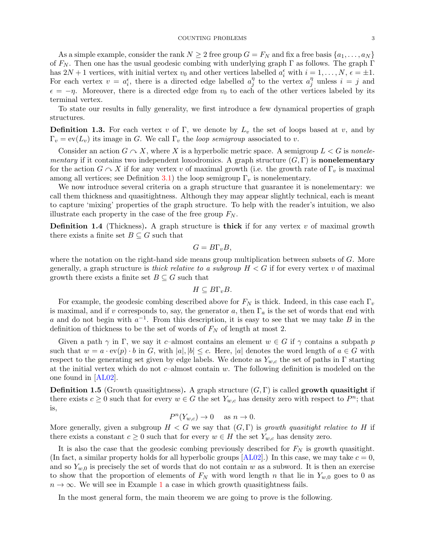As a simple example, consider the rank  $N \geq 2$  free group  $G = F_N$  and fix a free basis  $\{a_1, \ldots, a_N\}$ of  $F_N$ . Then one has the usual geodesic combing with underlying graph  $\Gamma$  as follows. The graph  $\Gamma$ has  $2N + 1$  vertices, with initial vertex  $v_0$  and other vertices labelled  $a_i^{\epsilon}$  with  $i = 1, \ldots, N$ ,  $\epsilon = \pm 1$ . For each vertex  $v = a_i^{\epsilon}$ , there is a directed edge labelled  $a_j^{\eta}$  $j \atop j$  to the vertex  $a_j^{\eta}$  $j \atop j$  unless  $i = j$  and  $\epsilon = -\eta$ . Moreover, there is a directed edge from  $v_0$  to each of the other vertices labeled by its terminal vertex.

To state our results in fully generality, we first introduce a few dynamical properties of graph structures.

**Definition 1.3.** For each vertex v of Γ, we denote by  $L<sub>v</sub>$  the set of loops based at v, and by  $\Gamma_v = \text{ev}(L_v)$  its image in G. We call  $\Gamma_v$  the *loop semigroup* associated to v.

Consider an action  $G \cap X$ , where X is a hyperbolic metric space. A semigroup  $L < G$  is nonelementary if it contains two independent loxodromics. A graph structure  $(G, \Gamma)$  is **nonelementary** for the action  $G \cap X$  if for any vertex v of maximal growth (i.e. the growth rate of  $\Gamma_v$  is maximal among all vertices; see Definition [3.1\)](#page-8-1) the loop semigroup  $\Gamma_v$  is nonelementary.

We now introduce several criteria on a graph structure that guarantee it is nonelementary: we call them thickness and quasitightness. Although they may appear slightly technical, each is meant to capture 'mixing' properties of the graph structure. To help with the reader's intuition, we also illustrate each property in the case of the free group  $F_N$ .

**Definition 1.4** (Thickness). A graph structure is **thick** if for any vertex  $v$  of maximal growth there exists a finite set  $B \subseteq G$  such that

$$
G = B\Gamma_v B,
$$

where the notation on the right-hand side means group multiplication between subsets of G. More generally, a graph structure is *thick relative to a subgroup*  $H < G$  if for every vertex v of maximal growth there exists a finite set  $B \subseteq G$  such that

$$
H\subseteq B\Gamma_vB.
$$

For example, the geodesic combing described above for  $F_N$  is thick. Indeed, in this case each  $\Gamma_v$ is maximal, and if v corresponds to, say, the generator a, then  $\Gamma_a$  is the set of words that end with a and do not begin with  $a^{-1}$ . From this description, it is easy to see that we may take B in the definition of thickness to be the set of words of  $F_N$  of length at most 2.

Given a path  $\gamma$  in Γ, we say it c–almost contains an element  $w \in G$  if  $\gamma$  contains a subpath p such that  $w = a \cdot \text{ev}(p) \cdot b$  in G, with  $|a|, |b| \leq c$ . Here, |a| denotes the word length of  $a \in G$  with respect to the generating set given by edge labels. We denote as  $Y_{w,c}$  the set of paths in Γ starting at the initial vertex which do not c–almost contain w. The following definition is modeled on the one found in [\[AL02\]](#page-34-4).

**Definition 1.5** (Growth quasitightness). A graph structure  $(G, \Gamma)$  is called growth quasitight if there exists  $c \geq 0$  such that for every  $w \in G$  the set  $Y_{w,c}$  has density zero with respect to  $P^n$ ; that is,

$$
P^n(Y_{w,c}) \to 0 \quad \text{ as } n \to 0.
$$

More generally, given a subgroup  $H < G$  we say that  $(G, \Gamma)$  is growth quasitight relative to H if there exists a constant  $c \geq 0$  such that for every  $w \in H$  the set  $Y_{w,c}$  has density zero.

It is also the case that the geodesic combing previously described for  $F_N$  is growth quasitight. (In fact, a similar property holds for all hyperbolic groups  $[AL02]$ .) In this case, we may take  $c = 0$ , and so  $Y_{w,0}$  is precisely the set of words that do not contain w as a subword. It is then an exercise to show that the proportion of elements of  $F_N$  with word length n that lie in  $Y_{w,0}$  goes to 0 as  $n \to \infty$ . We will see in Example [1](#page-4-0) a case in which growth quasitightness fails.

In the most general form, the main theorem we are going to prove is the following.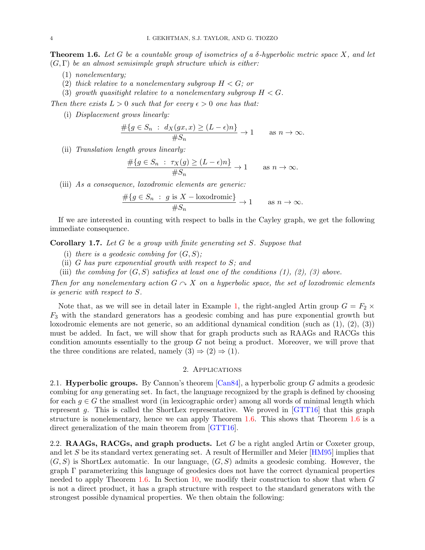<span id="page-3-1"></span>**Theorem 1.6.** Let G be a countable group of isometries of a  $\delta$ -hyperbolic metric space X, and let  $(G, \Gamma)$  be an almost semisimple graph structure which is either:

- (1) nonelementary;
- (2) thick relative to a nonelementary subgroup  $H < G$ ; or
- (3) growth quasitight relative to a nonelementary subgroup  $H < G$ .

Then there exists  $L > 0$  such that for every  $\epsilon > 0$  one has that:

(i) Displacement grows linearly:

$$
\frac{\#\{g \in S_n : d_X(gx, x) \ge (L - \epsilon)n\}}{\#S_n} \to 1 \quad \text{as } n \to \infty.
$$

(ii) Translation length grows linearly:

$$
\frac{\#\{g \in S_n : \tau_X(g) \ge (L - \epsilon)n\}}{\#S_n} \to 1 \quad \text{as } n \to \infty.
$$

(iii) As a consequence, loxodromic elements are generic:

$$
\frac{\#\{g \in S_n : g \text{ is } X - \text{loxodromic}\}}{\#S_n} \to 1 \quad \text{as } n \to \infty.
$$

If we are interested in counting with respect to balls in the Cayley graph, we get the following immediate consequence.

<span id="page-3-2"></span>Corollary 1.7. Let G be a group with finite generating set S. Suppose that

- (i) there is a geodesic combing for  $(G, S)$ ;
- (ii) G has pure exponential growth with respect to  $S$ ; and
- (iii) the combing for  $(G, S)$  satisfies at least one of the conditions  $(1), (2), (3)$  above.

Then for any nonelementary action  $G \cap X$  on a hyperbolic space, the set of loxodromic elements is generic with respect to S.

Note that, as we will see in detail later in Example [1,](#page-4-0) the right-angled Artin group  $G = F_2 \times$  $F_3$  with the standard generators has a geodesic combing and has pure exponential growth but loxodromic elements are not generic, so an additional dynamical condition (such as (1), (2), (3)) must be added. In fact, we will show that for graph products such as RAAGs and RACGs this condition amounts essentially to the group  $G$  not being a product. Moreover, we will prove that the three conditions are related, namely  $(3) \Rightarrow (2) \Rightarrow (1)$ .

### 2. Applications

<span id="page-3-0"></span>2.1. **Hyperbolic groups.** By Cannon's theorem  $\lbrack \text{Can84} \rbrack$ , a hyperbolic group G admits a geodesic combing for any generating set. In fact, the language recognized by the graph is defined by choosing for each  $g \in G$  the smallest word (in lexicographic order) among all words of minimal length which represent g. This is called the ShortLex representative. We proved in [\[GTT16\]](#page-35-6) that this graph structure is nonelementary, hence we can apply Theorem [1.6.](#page-3-1) This shows that Theorem [1.6](#page-3-1) is a direct generalization of the main theorem from [\[GTT16\]](#page-35-6).

2.2. RAAGs, RACGs, and graph products. Let G be a right angled Artin or Coxeter group, and let S be its standard vertex generating set. A result of Hermiller and Meier [\[HM95\]](#page-35-8) implies that  $(G, S)$  is ShortLex automatic. In our language,  $(G, S)$  admits a geodesic combing. However, the graph Γ parameterizing this language of geodesics does not have the correct dynamical properties needed to apply Theorem [1.6.](#page-3-1) In Section [10,](#page-29-0) we modify their construction to show that when G is not a direct product, it has a graph structure with respect to the standard generators with the strongest possible dynamical properties. We then obtain the following: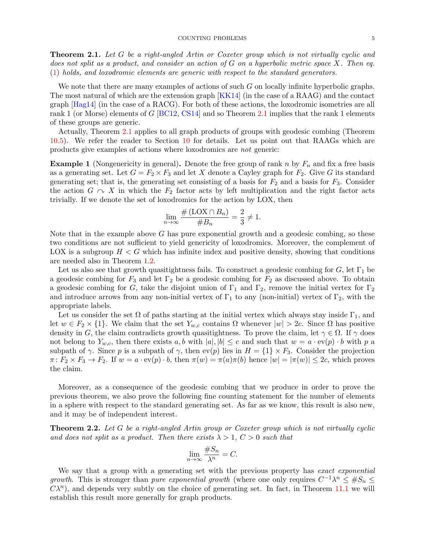#### COUNTING PROBLEMS 5

<span id="page-4-1"></span>**Theorem 2.1.** Let G be a right-angled Artin or Coxeter group which is not virtually cyclic and does not split as a product, and consider an action of G on a hyperbolic metric space X. Then eq. [\(1\)](#page-1-1) holds, and loxodromic elements are generic with respect to the standard generators.

We note that there are many examples of actions of such  $G$  on locally infinite hyperbolic graphs. The most natural of which are the extension graph [\[KK14\]](#page-35-2) (in the case of a RAAG) and the contact graph [\[Hag14\]](#page-35-3) (in the case of a RACG). For both of these actions, the loxodromic isometries are all rank 1 (or Morse) elements of G [\[BC12,](#page-34-6) [CS14\]](#page-35-9) and so Theorem [2.1](#page-4-1) implies that the rank 1 elements of these groups are generic.

Actually, Theorem [2.1](#page-4-1) applies to all graph products of groups with geodesic combing (Theorem [10.5\)](#page-32-0). We refer the reader to Section [10](#page-29-0) for details. Let us point out that RAAGs which are products give examples of actions where loxodromics are not generic:

<span id="page-4-0"></span>**Example 1** (Nongenericity in general). Denote the free group of rank n by  $F_n$  and fix a free basis as a generating set. Let  $G = F_2 \times F_3$  and let X denote a Cayley graph for  $F_2$ . Give G its standard generating set; that is, the generating set consisting of a basis for  $F_2$  and a basis for  $F_3$ . Consider the action  $G \curvearrowright X$  in which the  $F_2$  factor acts by left multiplication and the right factor acts trivially. If we denote the set of loxodromics for the action by LOX, then

$$
\lim_{n \to \infty} \frac{\# (\mathcal{L} \mathcal{O} \mathcal{X} \cap B_n)}{\#B_n} = \frac{2}{3} \neq 1.
$$

Note that in the example above  $G$  has pure exponential growth and a geodesic combing, so these two conditions are not sufficient to yield genericity of loxodromics. Moreover, the complement of LOX is a subgroup  $H < G$  which has infinite index and positive density, showing that conditions are needed also in Theorem [1.2.](#page-1-2)

Let us also see that growth quasitightness fails. To construct a geodesic combing for  $G$ , let  $\Gamma_1$  be a geodesic combing for  $F_3$  and let  $\Gamma_2$  be a geodesic combing for  $F_2$  as discussed above. To obtain a geodesic combing for G, take the disjoint union of  $\Gamma_1$  and  $\Gamma_2$ , remove the initial vertex for  $\Gamma_2$ and introduce arrows from any non-initial vertex of  $\Gamma_1$  to any (non-initial) vertex of  $\Gamma_2$ , with the appropriate labels.

Let us consider the set  $\Omega$  of paths starting at the initial vertex which always stay inside  $\Gamma_1$ , and let  $w \in F_2 \times \{1\}$ . We claim that the set  $Y_{w,c}$  contains  $\Omega$  whenever  $|w| > 2c$ . Since  $\Omega$  has positive density in G, the claim contradicts growth quasitightness. To prove the claim, let  $\gamma \in \Omega$ . If  $\gamma$  does not belong to  $Y_{w,c}$ , then there exists a, b with  $|a|, |b| \leq c$  and such that  $w = a \cdot \text{ev}(p) \cdot b$  with p a subpath of  $\gamma$ . Since p is a subpath of  $\gamma$ , then ev(p) lies in  $H = \{1\} \times F_3$ . Consider the projection  $\pi: F_2 \times F_3 \to F_2$ . If  $w = a \cdot \text{ev}(p) \cdot b$ , then  $\pi(w) = \pi(a)\pi(b)$  hence  $|w| = |\pi(w)| \leq 2c$ , which proves the claim.

Moreover, as a consequence of the geodesic combing that we produce in order to prove the previous theorem, we also prove the following fine counting statement for the number of elements in a sphere with respect to the standard generating set. As far as we know, this result is also new, and it may be of independent interest.

**Theorem 2.2.** Let G be a right-angled Artin group or Coxeter group which is not virtually cyclic and does not split as a product. Then there exists  $\lambda > 1$ ,  $C > 0$  such that

$$
\lim_{n \to \infty} \frac{\#S_n}{\lambda^n} = C.
$$

We say that a group with a generating set with the previous property has exact exponential growth. This is stronger than pure exponential growth (where one only requires  $C^{-1}\lambda^n \leq \#S_n \leq$  $C\lambda^{n}$ ), and depends very subtly on the choice of generating set. In fact, in Theorem [11.1](#page-33-0) we will establish this result more generally for graph products.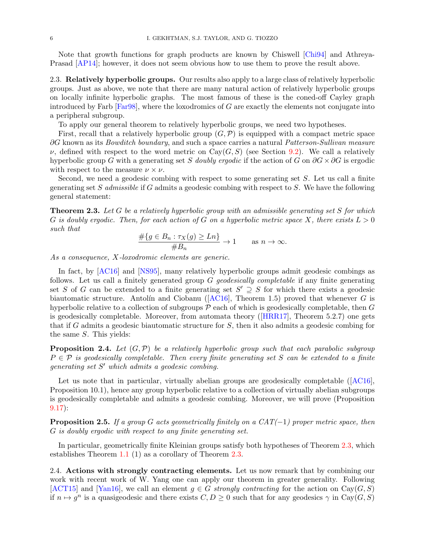Note that growth functions for graph products are known by Chiswell [\[Chi94\]](#page-34-7) and Athreya-Prasad [\[AP14\]](#page-34-8); however, it does not seem obvious how to use them to prove the result above.

<span id="page-5-1"></span>2.3. Relatively hyperbolic groups. Our results also apply to a large class of relatively hyperbolic groups. Just as above, we note that there are many natural action of relatively hyperbolic groups on locally infinite hyperbolic graphs. The most famous of these is the coned-off Cayley graph introduced by Farb  $[Far98]$ , where the loxodromics of G are exactly the elements not conjugate into a peripheral subgroup.

To apply our general theorem to relatively hyperbolic groups, we need two hypotheses.

First, recall that a relatively hyperbolic group  $(G, \mathcal{P})$  is equipped with a compact metric space  $\partial G$  known as its *Bowditch boundary*, and such a space carries a natural *Patterson-Sullivan measure*  $\nu$ , defined with respect to the word metric on Cay(G, S) (see Section [9.2\)](#page-25-0). We call a relatively hyperbolic group G with a generating set S doubly ergodic if the action of G on  $\partial G \times \partial G$  is ergodic with respect to the measure  $\nu \times \nu$ .

Second, we need a geodesic combing with respect to some generating set  $S$ . Let us call a finite generating set S admissible if  $G$  admits a geodesic combing with respect to  $S$ . We have the following general statement:

<span id="page-5-0"></span>**Theorem 2.3.** Let G be a relatively hyperbolic group with an admissible generating set S for which G is doubly ergodic. Then, for each action of G on a hyperbolic metric space X, there exists  $L > 0$ such that

$$
\frac{\#\{g \in B_n : \tau_X(g) \ge Ln\}}{\#B_n} \to 1 \quad \text{as } n \to \infty.
$$

As a consequence, X-loxodromic elements are generic.

In fact, by [\[AC16\]](#page-34-9) and [\[NS95\]](#page-36-5), many relatively hyperbolic groups admit geodesic combings as follows. Let us call a finitely generated group  $G$  *geodesically completable* if any finite generating set S of G can be extended to a finite generating set  $S' \supseteq S$  for which there exists a geodesic biautomaticstructure. Antolín and Ciobanu ( $[AC16]$ , Theorem 1.5) proved that whenever G is hyperbolic relative to a collection of subgroups  $\mathcal P$  each of which is geodesically completable, then  $G$ is geodesically completable. Moreover, from automata theory([\[HRR17\]](#page-35-10), Theorem 5.2.7) one gets that if G admits a geodesic biautomatic structure for S, then it also admits a geodesic combing for the same S. This yields:

**Proposition 2.4.** Let  $(G, \mathcal{P})$  be a relatively hyperbolic group such that each parabolic subgroup  $P \in \mathcal{P}$  is geodesically completable. Then every finite generating set S can be extended to a finite generating set S' which admits a geodesic combing.

Letus note that in particular, virtually abelian groups are geodesically completable ([\[AC16\]](#page-34-9), Proposition 10.1), hence any group hyperbolic relative to a collection of virtually abelian subgroups is geodesically completable and admits a geodesic combing. Moreover, we will prove (Proposition [9.17\)](#page-28-0):

**Proposition 2.5.** If a group G acts geometrically finitely on a  $CAT(-1)$  proper metric space, then G is doubly ergodic with respect to any finite generating set.

In particular, geometrically finite Kleinian groups satisfy both hypotheses of Theorem [2.3,](#page-5-0) which establishes Theorem [1.1](#page-1-0) (1) as a corollary of Theorem [2.3.](#page-5-0)

2.4. Actions with strongly contracting elements. Let us now remark that by combining our work with recent work of W. Yang one can apply our theorem in greater generality. Following [\[ACT15\]](#page-34-10) and [\[Yan16\]](#page-36-6), we call an element  $g \in G$  strongly contracting for the action on Cay( $G, S$ ) if  $n \mapsto g^n$  is a quasigeodesic and there exists  $C, D \geq 0$  such that for any geodesics  $\gamma$  in Cay $(G, S)$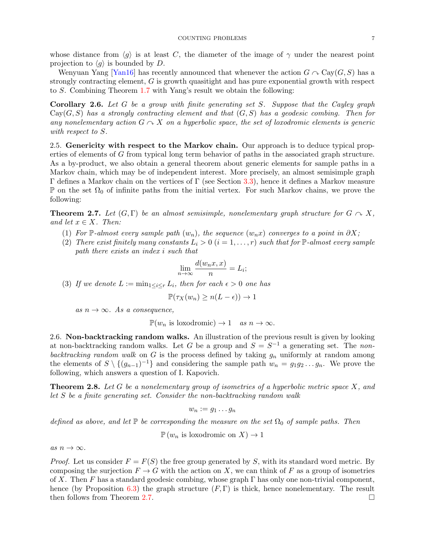whose distance from  $\langle g \rangle$  is at least C, the diameter of the image of  $\gamma$  under the nearest point projection to  $\langle g \rangle$  is bounded by D.

Wenyuan Yang [\[Yan16\]](#page-36-6) has recently announced that whenever the action  $G \cap \text{Cay}(G, S)$  has a strongly contracting element, G is growth quasitight and has pure exponential growth with respect to S. Combining Theorem [1.7](#page-3-2) with Yang's result we obtain the following:

<span id="page-6-1"></span>Corollary 2.6. Let G be a group with finite generating set S. Suppose that the Cayley graph  $Cay(G, S)$  has a strongly contracting element and that  $(G, S)$  has a geodesic combing. Then for any nonelementary action  $G \cap X$  on a hyperbolic space, the set of loxodromic elements is generic with respect to S.

2.5. Genericity with respect to the Markov chain. Our approach is to deduce typical properties of elements of G from typical long term behavior of paths in the associated graph structure. As a by-product, we also obtain a general theorem about generic elements for sample paths in a Markov chain, which may be of independent interest. More precisely, an almost semisimple graph Γ defines a Markov chain on the vertices of Γ (see Section [3.3\)](#page-9-0), hence it defines a Markov measure  $\mathbb P$  on the set  $\Omega_0$  of infinite paths from the initial vertex. For such Markov chains, we prove the following:

<span id="page-6-0"></span>**Theorem 2.7.** Let  $(G, \Gamma)$  be an almost semisimple, nonelementary graph structure for  $G \sim X$ , and let  $x \in X$ . Then:

- (1) For P-almost every sample path  $(w_n)$ , the sequence  $(w_n x)$  converges to a point in  $\partial X$ ;
- (2) There exist finitely many constants  $L_i > 0$   $(i = 1, \ldots, r)$  such that for  $\mathbb{P}\text{-almost every sample}$ path there exists an index i such that

$$
\lim_{n \to \infty} \frac{d(w_n x, x)}{n} = L_i;
$$

(3) If we denote  $L := \min_{1 \leq i \leq r} L_i$ , then for each  $\epsilon > 0$  one has

$$
\mathbb{P}(\tau_X(w_n) \ge n(L-\epsilon)) \to 1
$$

as  $n \to \infty$ . As a consequence,

 $\mathbb{P}(w_n \text{ is loxodromic}) \to 1 \quad \text{as } n \to \infty.$ 

2.6. Non-backtracking random walks. An illustration of the previous result is given by looking at non-backtracking random walks. Let G be a group and  $S = S^{-1}$  a generating set. The nonbacktracking random walk on G is the process defined by taking  $g_n$  uniformly at random among the elements of  $S \setminus \{(g_{n-1})^{-1}\}\$  and considering the sample path  $w_n = g_1g_2 \ldots g_n$ . We prove the following, which answers a question of I. Kapovich.

**Theorem 2.8.** Let G be a nonelementary group of isometries of a hyperbolic metric space X, and let S be a finite generating set. Consider the non-backtracking random walk

$$
w_n := g_1 \dots g_n
$$

defined as above, and let  $\mathbb P$  be corresponding the measure on the set  $\Omega_0$  of sample paths. Then

 $\mathbb{P}(w_n \text{ is loxodromic on } X) \to 1$ 

as  $n \to \infty$ .

*Proof.* Let us consider  $F = F(S)$  the free group generated by S, with its standard word metric. By composing the surjection  $F \to G$  with the action on X, we can think of F as a group of isometries of X. Then F has a standard geodesic combing, whose graph  $\Gamma$  has only one non-trivial component, hence (by Proposition [6.3\)](#page-20-0) the graph structure  $(F, \Gamma)$  is thick, hence nonelementary. The result then follows from Theorem [2.7.](#page-6-0)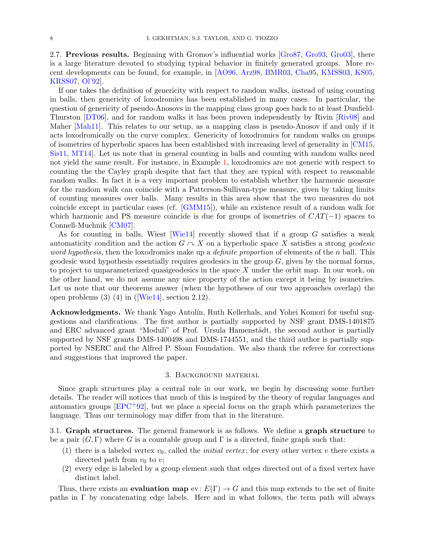2.7. Previous results. Beginning with Gromov's influential works [\[Gro87,](#page-35-0) [Gro93,](#page-35-11) [Gro03\]](#page-35-12), there is a large literature devoted to studying typical behavior in finitely generated groups. More recent developments can be found, for example, in [\[AO96,](#page-34-11) [Arz98,](#page-34-12) [BMR03,](#page-34-13) [Cha95,](#page-34-14) [KMSS03,](#page-35-13) [KS05,](#page-35-14) [KRSS07,](#page-35-15) [Ol'92\]](#page-36-7).

If one takes the definition of genericity with respect to random walks, instead of using counting in balls, then genericity of loxodromics has been established in many cases. In particular, the question of genericity of pseudo-Anosovs in the mapping class group goes back to at least Dunfield-Thurston [\[DT06\]](#page-35-16), and for random walks it has been proven independently by Rivin [\[Riv08\]](#page-36-8) and Maher [\[Mah11\]](#page-35-5). This relates to our setup, as a mapping class is pseudo-Anosov if and only if it acts loxodromically on the curve complex. Genericity of loxodromics for random walks on groups of isometries of hyperbolic spaces has been established with increasing level of generality in [\[CM15,](#page-34-3) [Sis11,](#page-36-9) [MT14\]](#page-36-3). Let us note that in general counting in balls and counting with random walks need not yield the same result. For instance, in Example [1,](#page-4-0) loxodromics are not generic with respect to counting the the Cayley graph despite that fact that they are typical with respect to reasonable random walks. In fact it is a very important problem to establish whether the harmonic measure for the random walk can coincide with a Patterson-Sullivan-type measure, given by taking limits of counting measures over balls. Many results in this area show that the two measures do not coincide except in particular cases (cf. [\[GMM15\]](#page-35-7)), while an existence result of a random walk for which harmonic and PS measure coincide is due for groups of isometries of  $CAT(-1)$  spaces to Connell-Muchnik [\[CM07\]](#page-34-15).

As for counting in balls, Wiest [\[Wie14\]](#page-36-10) recently showed that if a group G satisfies a weak automaticity condition and the action  $G \cap X$  on a hyperbolic space X satisfies a strong geodesic word hypothesis, then the loxodromics make up a *definite proportion* of elements of the n ball. This geodesic word hypothesis essentially requires geodesics in the group  $G$ , given by the normal forms, to project to unparameterized quasigeodesics in the space X under the orbit map. In our work, on the other hand, we do not assume any nice property of the action except it being by isometries. Let us note that our theorems answer (when the hypotheses of our two approaches overlap) the openproblems  $(3)$   $(4)$  in ([\[Wie14\]](#page-36-10), section 2.12).

Acknowledgments. We thank Yago Antolín, Ruth Kellerhals, and Yohei Komori for useful suggestions and clarifications. The first author is partially supported by NSF grant DMS-1401875 and ERC advanced grant "Moduli" of Prof. Ursula Hamenstädt, the second author is partially supported by NSF grants DMS-1400498 and DMS-1744551, and the third author is partially supported by NSERC and the Alfred P. Sloan Foundation. We also thank the referee for corrections and suggestions that improved the paper.

### 3. Background material

Since graph structures play a central role in our work, we begin by discussing some further details. The reader will notices that much of this is inspired by the theory of regular languages and automatics groups [\[EPC](#page-35-17)+92], but we place a special focus on the graph which parameterizes the language. Thus our terminology may differ from that in the literature.

<span id="page-7-0"></span>3.1. Graph structures. The general framework is as follows. We define a graph structure to be a pair  $(G, \Gamma)$  where G is a countable group and  $\Gamma$  is a directed, finite graph such that:

- (1) there is a labeled vertex  $v_0$ , called the *initial vertex*; for every other vertex v there exists a directed path from  $v_0$  to  $v$ ;
- (2) every edge is labeled by a group element such that edges directed out of a fixed vertex have distinct label.

Thus, there exists an **evaluation map** ev:  $E(\Gamma) \rightarrow G$  and this map extends to the set of finite paths in  $\Gamma$  by concatenating edge labels. Here and in what follows, the term path will always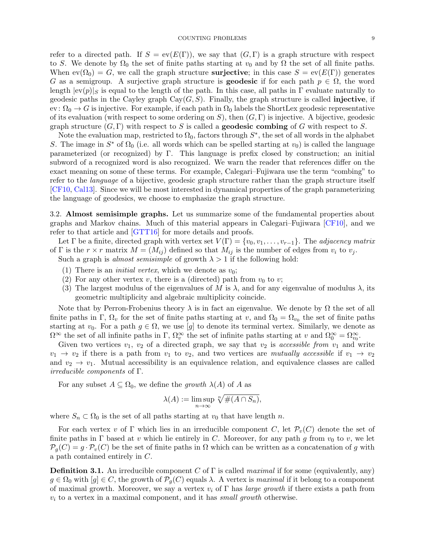#### COUNTING PROBLEMS 9

refer to a directed path. If  $S = ev(E(\Gamma))$ , we say that  $(G, \Gamma)$  is a graph structure with respect to S. We denote by  $\Omega_0$  the set of finite paths starting at  $v_0$  and by  $\Omega$  the set of all finite paths. When  $ev(\Omega_0) = G$ , we call the graph structure **surjective**; in this case  $S = ev(E(\Gamma))$  generates G as a semigroup. A surjective graph structure is **geodesic** if for each path  $p \in \Omega$ , the word length  $|ev(p)|_S$  is equal to the length of the path. In this case, all paths in Γ evaluate naturally to geodesic paths in the Cayley graph  $Cay(G, S)$ . Finally, the graph structure is called **injective**, if ev:  $\Omega_0 \to G$  is injective. For example, if each path in  $\Omega_0$  labels the ShortLex geodesic representative of its evaluation (with respect to some ordering on S), then  $(G, \Gamma)$  is injective. A bijective, geodesic graph structure  $(G, \Gamma)$  with respect to S is called a **geodesic combing** of G with respect to S.

Note the evaluation map, restricted to  $\Omega_0$ , factors through  $S^*$ , the set of all words in the alphabet S. The image in  $S^*$  of  $\Omega_0$  (i.e. all words which can be spelled starting at  $v_0$ ) is called the language parameterized (or recognized) by Γ. This language is prefix closed by construction; an initial subword of a recognized word is also recognized. We warn the reader that references differ on the exact meaning on some of these terms. For example, Calegari–Fujiwara use the term "combing" to refer to the language of a bijective, geodesic graph structure rather than the graph structure itself [\[CF10,](#page-34-16) [Cal13\]](#page-34-17). Since we will be most interested in dynamical properties of the graph parameterizing the language of geodesics, we choose to emphasize the graph structure.

<span id="page-8-0"></span>3.2. Almost semisimple graphs. Let us summarize some of the fundamental properties about graphs and Markov chains. Much of this material appears in Calegari–Fujiwara [\[CF10\]](#page-34-16), and we refer to that article and [\[GTT16\]](#page-35-6) for more details and proofs.

Let  $\Gamma$  be a finite, directed graph with vertex set  $V(\Gamma) = \{v_0, v_1, \ldots, v_{r-1}\}.$  The *adjacency matrix* of Γ is the  $r \times r$  matrix  $M = (M_{ij})$  defined so that  $M_{ij}$  is the number of edges from  $v_i$  to  $v_j$ . Such a graph is *almost semisimple* of growth  $\lambda > 1$  if the following hold:

- (1) There is an *initial vertex*, which we denote as  $v_0$ ;
- (2) For any other vertex v, there is a (directed) path from  $v_0$  to v;
- (3) The largest modulus of the eigenvalues of M is  $\lambda$ , and for any eigenvalue of modulus  $\lambda$ , its geometric multiplicity and algebraic multiplicity coincide.

Note that by Perron-Frobenius theory  $\lambda$  is in fact an eigenvalue. We denote by  $\Omega$  the set of all finite paths in Γ,  $\Omega_v$  for the set of finite paths starting at v, and  $\Omega_0 = \Omega_{v_0}$  the set of finite paths starting at  $v_0$ . For a path  $g \in \Omega$ , we use [g] to denote its terminal vertex. Similarly, we denote as  $\Omega^{\infty}$  the set of all infinite paths in  $\Gamma$ ,  $\Omega^{\infty}_v$  the set of infinite paths starting at v and  $\Omega^{\infty}_0 = \Omega^{\infty}_{v_0}$ .

Given two vertices  $v_1, v_2$  of a directed graph, we say that  $v_2$  is accessible from  $v_1$  and write  $v_1 \rightarrow v_2$  if there is a path from  $v_1$  to  $v_2$ , and two vertices are mutually accessible if  $v_1 \rightarrow v_2$ and  $v_2 \rightarrow v_1$ . Mutual accessibility is an equivalence relation, and equivalence classes are called irreducible components of Γ.

For any subset  $A \subseteq \Omega_0$ , we define the growth  $\lambda(A)$  of A as

$$
\lambda(A) := \limsup_{n \to \infty} \sqrt[n]{\#(A \cap S_n)},
$$

where  $S_n \subset \Omega_0$  is the set of all paths starting at  $v_0$  that have length n.

For each vertex v of  $\Gamma$  which lies in an irreducible component C, let  $\mathcal{P}_v(C)$  denote the set of finite paths in  $\Gamma$  based at v which lie entirely in C. Moreover, for any path g from  $v_0$  to v, we let  $\mathcal{P}_q(C) = g \cdot \mathcal{P}_v(C)$  be the set of finite paths in  $\Omega$  which can be written as a concatenation of g with a path contained entirely in C.

<span id="page-8-1"></span>**Definition 3.1.** An irreducible component C of  $\Gamma$  is called *maximal* if for some (equivalently, any)  $g \in \Omega_0$  with  $[g] \in C$ , the growth of  $\mathcal{P}_g(C)$  equals  $\lambda$ . A vertex is maximal if it belong to a component of maximal growth. Moreover, we say a vertex  $v_i$  of  $\Gamma$  has *large growth* if there exists a path from  $v_i$  to a vertex in a maximal component, and it has small growth otherwise.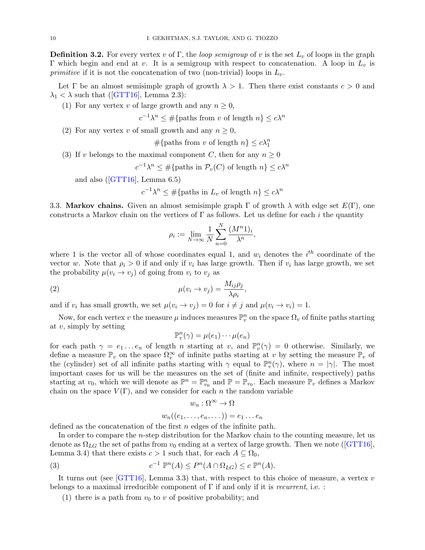<span id="page-9-1"></span>**Definition 3.2.** For every vertex v of Γ, the *loop semigroup* of v is the set  $L_v$  of loops in the graph Γ which begin and end at v. It is a semigroup with respect to concatenation. A loop in  $L_v$  is *primitive* if it is not the concatenation of two (non-trivial) loops in  $L_v$ .

Let  $\Gamma$  be an almost semisimple graph of growth  $\lambda > 1$ . Then there exist constants  $c > 0$  and  $\lambda_1 < \lambda$  $\lambda_1 < \lambda$  $\lambda_1 < \lambda$  such that ([\[GTT16\]](#page-35-6), Lemma 2.3):

(1) For any vertex v of large growth and any  $n \geq 0$ ,

$$
c^{-1}\lambda^n \le \#\{\text{paths from } v \text{ of length } n\} \le c\lambda^n
$$

(2) For any vertex v of small growth and any  $n \geq 0$ ,

$$
\#\{\text{paths from } v \text{ of length } n\} \le c\lambda_1^n
$$

(3) If v belongs to the maximal component C, then for any  $n \geq 0$ 

$$
c^{-1}\lambda^n \leq \#\{\text{paths in } \mathcal{P}_v(C) \text{ of length } n\} \leq c\lambda^n
$$

andalso  $([GTT16],$  $([GTT16],$  $([GTT16],$  Lemma 6.5)

$$
c^{-1}\lambda^n \leq \#\{\text{paths in } L_v \text{ of length } n\} \leq c\lambda^n
$$

<span id="page-9-0"></span>3.3. Markov chains. Given an almost semisimple graph  $\Gamma$  of growth  $\lambda$  with edge set  $E(\Gamma)$ , one constructs a Markov chain on the vertices of  $\Gamma$  as follows. Let us define for each i the quantity

$$
\rho_i := \lim_{N \to \infty} \frac{1}{N} \sum_{n=0}^N \frac{(M^n 1)_i}{\lambda^n},
$$

where 1 is the vector all of whose coordinates equal 1, and  $w_i$  denotes the  $i^{th}$  coordinate of the vector w. Note that  $\rho_i > 0$  if and only if  $v_i$  has large growth. Then if  $v_i$  has large growth, we set the probability  $\mu(v_i \to v_j)$  of going from  $v_i$  to  $v_j$  as

(2) 
$$
\mu(v_i \to v_j) = \frac{M_{ij}\rho_j}{\lambda \rho_i},
$$

and if  $v_i$  has small growth, we set  $\mu(v_i \to v_j) = 0$  for  $i \neq j$  and  $\mu(v_i \to v_i) = 1$ .

Now, for each vertex v the measure  $\mu$  induces measures  $\mathbb{P}^n_v$  on the space  $\Omega_v$  of finite paths starting at  $v$ , simply by setting

$$
\mathbb{P}_v^n(\gamma) = \mu(e_1) \cdots \mu(e_n)
$$

for each path  $\gamma = e_1 \dots e_n$  of length n starting at v, and  $\mathbb{P}_v^n(\gamma) = 0$  otherwise. Similarly, we define a measure  $\mathbb{P}_v$  on the space  $\Omega_v^{\infty}$  of infinite paths starting at v by setting the measure  $\mathbb{P}_v$  of the (cylinder) set of all infinite paths starting with  $\gamma$  equal to  $\mathbb{P}_{v}^{n}(\gamma)$ , where  $n = |\gamma|$ . The most important cases for us will be the measures on the set of (finite and infinite, respectively) paths starting at  $v_0$ , which we will denote as  $\mathbb{P}^n = \mathbb{P}^n_{v_0}$  and  $\mathbb{P} = \mathbb{P}_{v_0}$ . Each measure  $\mathbb{P}_v$  defines a Markov chain on the space  $V(\Gamma)$ , and we consider for each n the random variable

$$
w_n:\Omega^\infty\to\Omega
$$

<span id="page-9-2"></span>
$$
w_n((e_1,\ldots,e_n,\dots))=e_1\ldots e_n
$$

defined as the concatenation of the first n edges of the infinite path.

In order to compare the n-step distribution for the Markov chain to the counting measure, let us denoteas  $\Omega_{LG}$  the set of paths from  $v_0$  ending at a vertex of large growth. Then we note ([\[GTT16\]](#page-35-6), Lemma 3.4) that there exists  $c > 1$  such that, for each  $A \subseteq \Omega_0$ ,

(3) 
$$
c^{-1} \mathbb{P}^n(A) \le P^n(A \cap \Omega_{LG}) \le c \mathbb{P}^n(A).
$$

It turns out (see [\[GTT16\]](#page-35-6), Lemma 3.3) that, with respect to this choice of measure, a vertex v belongs to a maximal irreducible component of  $\Gamma$  if and only if it is *recurrent*, i.e. :

(1) there is a path from  $v_0$  to v of positive probability; and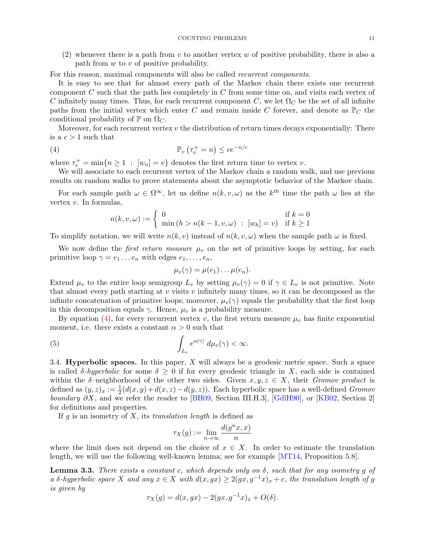(2) whenever there is a path from v to another vertex w of positive probability, there is also a path from  $w$  to  $v$  of positive probability.

For this reason, maximal components will also be called recurrent components.

It is easy to see that for almost every path of the Markov chain there exists one recurrent component  $C$  such that the path lies completely in  $C$  from some time on, and visits each vertex of C infinitely many times. Thus, for each recurrent component C, we let  $\Omega_C$  be the set of all infinite paths from the initial vertex which enter C and remain inside C forever, and denote as  $\mathbb{P}_C$  the conditional probability of  $\mathbb P$  on  $\Omega_C$ .

Moreover, for each recurrent vertex  $v$  the distribution of return times decays exponentially: There is a  $c > 1$  such that

(4) P<sup>v</sup> τ + <sup>v</sup> = n ≤ ce−n/c

where  $\tau_v^+ = \min\{n \ge 1 : [w_n] = v\}$  denotes the first return time to vertex v.

We will associate to each recurrent vertex of the Markov chain a random walk, and use previous results on random walks to prove statements about the asymptotic behavior of the Markov chain.

For each sample path  $\omega \in \Omega^{\infty}$ , let us define  $n(k, v, \omega)$  as the k<sup>th</sup> time the path  $\omega$  lies at the vertex  $v$ . In formulas,

<span id="page-10-0"></span>
$$
n(k, v, \omega) := \begin{cases} 0 & \text{if } k = 0\\ \min(h > n(k - 1, v, \omega) : [w_h] = v) & \text{if } k \ge 1 \end{cases}
$$

To simplify notation, we will write  $n(k, v)$  instead of  $n(k, v, \omega)$  when the sample path  $\omega$  is fixed.

We now define the *first return measure*  $\mu_v$  on the set of primitive loops by setting, for each primitive loop  $\gamma = e_1 \dots e_n$  with edges  $e_1, \dots, e_n$ ,

$$
\mu_v(\gamma) = \mu(e_1) \dots \mu(e_n).
$$

Extend  $\mu_v$  to the entire loop semigroup  $L_v$  by setting  $\mu_v(\gamma) = 0$  if  $\gamma \in L_v$  is not primitive. Note that almost every path starting at  $v$  visits  $v$  infinitely many times, so it can be decomposed as the infinite concatenation of primitive loops; moreover,  $\mu_v(\gamma)$  equals the probability that the first loop in this decomposition equals  $\gamma$ . Hence,  $\mu_v$  is a probability measure.

By equation [\(4\)](#page-10-0), for every recurrent vertex v, the first return measure  $\mu_v$  has finite exponential moment, i.e. there exists a constant  $\alpha > 0$  such that

(5) 
$$
\int_{L_v} e^{\alpha |\gamma|} d\mu_v(\gamma) < \infty.
$$

3.4. **Hyperbolic spaces.** In this paper,  $X$  will always be a geodesic metric space. Such a space is called  $\delta$ -hyperbolic for some  $\delta \geq 0$  if for every geodesic triangle in X, each side is contained within the  $\delta$ -neighborhood of the other two sides. Given  $x, y, z \in X$ , their Gromov product is defined as  $(y, z)_x := \frac{1}{2}(d(x, y) + d(x, z) - d(y, z))$ . Each hyperbolic space has a well-defined *Gromov boundary*  $\partial X$ , and we refer the reader to [\[BH09,](#page-34-18) Section III.H.3], [\[GdlH90\]](#page-35-18), or [\[KB02,](#page-35-19) Section 2] for definitions and properties.

If g is an isometry of  $X$ , its translation length is defined as

$$
\tau_X(g) := \lim_{n \to \infty} \frac{d(g^n x, x)}{n}
$$

where the limit does not depend on the choice of  $x \in X$ . In order to estimate the translation length, we will use the following well-known lemma; see for example [\[MT14,](#page-36-3) Proposition 5.8].

<span id="page-10-1"></span>**Lemma 3.3.** There exists a constant c, which depends only on  $\delta$ , such that for any isometry q of a δ-hyperbolic space X and any  $x \in X$  with  $d(x, gx) \geq 2(gx, g^{-1}x)_x + c$ , the translation length of g is given by

$$
\tau_X(g) = d(x, gx) - 2(gx, g^{-1}x)_x + O(\delta).
$$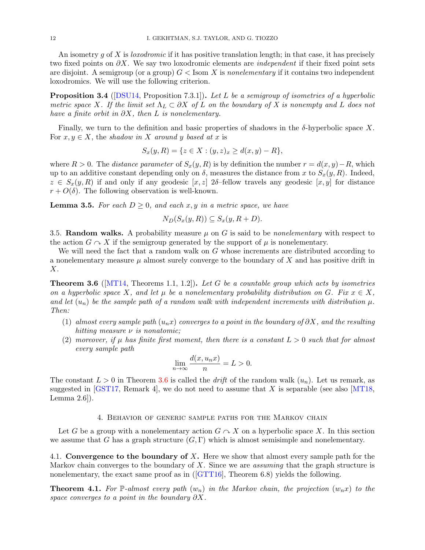An isometry q of X is *loxodromic* if it has positive translation length; in that case, it has precisely two fixed points on  $\partial X$ . We say two loxodromic elements are *independent* if their fixed point sets are disjoint. A semigroup (or a group)  $G <$  Isom X is nonelementary if it contains two independent loxodromics. We will use the following criterion.

<span id="page-11-3"></span>**Proposition 3.4** ([\[DSU14,](#page-35-20) Proposition 7.3.1]). Let L be a semigroup of isometries of a hyperbolic metric space X. If the limit set  $\Lambda_L \subset \partial X$  of L on the boundary of X is nonempty and L does not have a finite orbit in  $\partial X$ , then L is nonelementary.

Finally, we turn to the definition and basic properties of shadows in the  $\delta$ -hyperbolic space X. For  $x, y \in X$ , the shadow in X around y based at x is

$$
S_x(y, R) = \{ z \in X : (y, z)_x \ge d(x, y) - R \},
$$

where  $R > 0$ . The distance parameter of  $S_x(y, R)$  is by definition the number  $r = d(x, y) - R$ , which up to an additive constant depending only on  $\delta$ , measures the distance from x to  $S_x(y, R)$ . Indeed,  $z \in S_x(y, R)$  if and only if any geodesic  $[x, z]$  2δ–fellow travels any geodesic  $[x, y]$  for distance  $r + O(\delta)$ . The following observation is well-known.

<span id="page-11-2"></span>**Lemma 3.5.** For each  $D \geq 0$ , and each x, y in a metric space, we have

$$
N_D(S_x(y,R)) \subseteq S_x(y,R+D).
$$

3.5. Random walks. A probability measure  $\mu$  on G is said to be *nonelementary* with respect to the action  $G \cap X$  if the semigroup generated by the support of  $\mu$  is nonelementary.

We will need the fact that a random walk on G whose increments are distributed according to a nonelementary measure  $\mu$  almost surely converge to the boundary of X and has positive drift in X.

<span id="page-11-0"></span>**Theorem 3.6** ( $[MT14, Theorems 1.1, 1.2]$  $[MT14, Theorems 1.1, 1.2]$ ). Let G be a countable group which acts by isometries on a hyperbolic space X, and let  $\mu$  be a nonelementary probability distribution on G. Fix  $x \in X$ , and let  $(u_n)$  be the sample path of a random walk with independent increments with distribution  $\mu$ . Then:

- (1) almost every sample path  $(u_nx)$  converges to a point in the boundary of  $\partial X$ , and the resulting hitting measure  $\nu$  is nonatomic;
- (2) moreover, if  $\mu$  has finite first moment, then there is a constant  $L > 0$  such that for almost every sample path

$$
\lim_{n \to \infty} \frac{d(x, u_n x)}{n} = L > 0.
$$

The constant  $L > 0$  in Theorem [3.6](#page-11-0) is called the *drift* of the random walk  $(u_n)$ . Let us remark, as suggested in [\[GST17,](#page-35-21) Remark 4], we do not need to assume that X is separable (see also [\[MT18,](#page-36-11) Lemma 2.6]).

#### 4. Behavior of generic sample paths for the Markov chain

Let G be a group with a nonelementary action  $G \cap X$  on a hyperbolic space X. In this section we assume that G has a graph structure  $(G, \Gamma)$  which is almost semisimple and nonelementary.

4.1. Convergence to the boundary of X. Here we show that almost every sample path for the Markov chain converges to the boundary of  $X$ . Since we are *assuming* that the graph structure is nonelementary,the exact same proof as in ([\[GTT16\]](#page-35-6), Theorem 6.8) yields the following.

<span id="page-11-1"></span>**Theorem 4.1.** For P-almost every path  $(w_n)$  in the Markov chain, the projection  $(w_nx)$  to the space converges to a point in the boundary  $\partial X$ .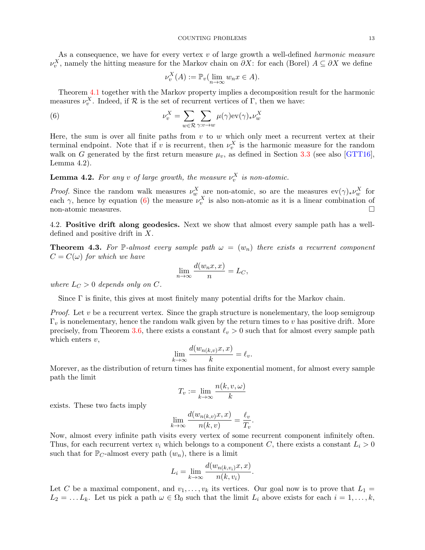As a consequence, we have for every vertex  $v$  of large growth a well-defined *harmonic measure*  $\nu_v^X$ , namely the hitting measure for the Markov chain on  $\partial X$ : for each (Borel)  $A \subseteq \partial X$  we define

<span id="page-12-0"></span>
$$
\nu_v^X(A) := \mathbb{P}_v(\lim_{n \to \infty} w_n x \in A).
$$

Theorem [4.1](#page-11-1) together with the Markov property implies a decomposition result for the harmonic measures  $\nu_v^X$ . Indeed, if R is the set of recurrent vertices of  $\Gamma$ , then we have:

(6) 
$$
\nu_v^X = \sum_{w \in \mathcal{R}} \sum_{\gamma: v \to w} \mu(\gamma) \text{ev}(\gamma)_* \nu_w^X
$$

Here, the sum is over all finite paths from  $v$  to  $w$  which only meet a recurrent vertex at their terminal endpoint. Note that if v is recurrent, then  $\nu_v^X$  is the harmonic measure for the random walk on G generated by the first return measure  $\mu_v$ , as defined in Section [3.3](#page-9-0) (see also [\[GTT16\]](#page-35-6), Lemma 4.2).

<span id="page-12-2"></span>**Lemma 4.2.** For any v of large growth, the measure  $\nu_v^X$  is non-atomic.

*Proof.* Since the random walk measures  $\nu_w^X$  are non-atomic, so are the measures  $ev(\gamma)_*\nu_w^X$  for each  $\gamma$ , hence by equation [\(6\)](#page-12-0) the measure  $\nu_v^X$  is also non-atomic as it is a linear combination of non-atomic measures.

4.2. Positive drift along geodesics. Next we show that almost every sample path has a welldefined and positive drift in X.

<span id="page-12-1"></span>**Theorem 4.3.** For P-almost every sample path  $\omega = (w_n)$  there exists a recurrent component  $C = C(\omega)$  for which we have

$$
\lim_{n \to \infty} \frac{d(w_n x, x)}{n} = L_C,
$$

where  $L_C > 0$  depends only on C.

Since  $\Gamma$  is finite, this gives at most finitely many potential drifts for the Markov chain.

*Proof.* Let  $v$  be a recurrent vertex. Since the graph structure is nonelementary, the loop semigroup  $\Gamma_v$  is nonelementary, hence the random walk given by the return times to v has positive drift. More precisely, from Theorem [3.6,](#page-11-0) there exists a constant  $\ell_v > 0$  such that for almost every sample path which enters  $v$ ,

$$
\lim_{k \to \infty} \frac{d(w_{n(k,v)}x, x)}{k} = \ell_v.
$$

Morever, as the distribution of return times has finite exponential moment, for almost every sample path the limit

$$
T_v := \lim_{k \to \infty} \frac{n(k, v, \omega)}{k}
$$

exists. These two facts imply

$$
\lim_{k \to \infty} \frac{d(w_{n(k,v)}x, x)}{n(k, v)} = \frac{\ell_v}{T_v}.
$$

Now, almost every infinite path visits every vertex of some recurrent component infinitely often. Thus, for each recurrent vertex  $v_i$  which belongs to a component C, there exists a constant  $L_i > 0$ such that for  $\mathbb{P}_C$ -almost every path  $(w_n)$ , there is a limit

$$
L_i = \lim_{k \to \infty} \frac{d(w_{n(k, v_i)}x, x)}{n(k, v_i)}.
$$

Let C be a maximal component, and  $v_1, \ldots, v_k$  its vertices. Our goal now is to prove that  $L_1 =$  $L_2 = \ldots L_k$ . Let us pick a path  $\omega \in \Omega_0$  such that the limit  $L_i$  above exists for each  $i = 1, \ldots, k$ ,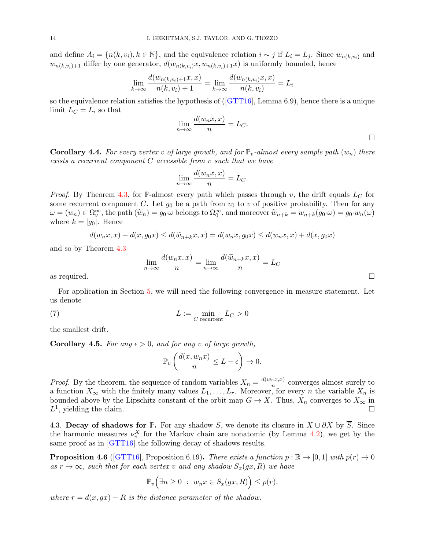and define  $A_i = \{n(k, v_i), k \in \mathbb{N}\}\,$ , and the equivalence relation  $i \sim j$  if  $L_i = L_j$ . Since  $w_{n(k, v_i)}$  and  $w_{n(k,v_i)+1}$  differ by one generator,  $d(w_{n(k,v_i)}x, w_{n(k,v_i)+1}x)$  is uniformly bounded, hence

$$
\lim_{k \to \infty} \frac{d(w_{n(k, v_i)+1}x, x)}{n(k, v_i)+1} = \lim_{k \to \infty} \frac{d(w_{n(k, v_i)}x, x)}{n(k, v_i)} = L_i
$$

sothe equivalence relation satisfies the hypothesis of  $(GTT16)$ , Lemma 6.9), hence there is a unique limit  $L_C = L_i$  so that

$$
\lim_{n \to \infty} \frac{d(w_n x, x)}{n} = L_C.
$$

<span id="page-13-3"></span>**Corollary 4.4.** For every vertex v of large growth, and for  $\mathbb{P}_v$ -almost every sample path  $(w_n)$  there exists a recurrent component C accessible from v such that we have

$$
\lim_{n \to \infty} \frac{d(w_n x, x)}{n} = L_C.
$$

*Proof.* By Theorem [4.3,](#page-12-1) for P-almost every path which passes through v, the drift equals  $L<sub>C</sub>$  for some recurrent component C. Let  $g_0$  be a path from  $v_0$  to v of positive probability. Then for any  $\omega = (w_n) \in \Omega_v^{\infty}$ , the path  $(\widetilde{w}_n) = g_0 \cdot \omega$  belongs to  $\Omega_0^{\infty}$ , and moreover  $\widetilde{w}_{n+k} = w_{n+k}(g_0 \cdot \omega) = g_0 \cdot w_n(\omega)$ where  $k = |q_0|$ . Hence

$$
d(w_n x, x) - d(x, g_0 x) \le d(\tilde{w}_{n+k} x, x) = d(w_n x, g_0 x) \le d(w_n x, x) + d(x, g_0 x)
$$

and so by Theorem [4.3](#page-12-1)

$$
\lim_{n \to \infty} \frac{d(w_n x, x)}{n} = \lim_{n \to \infty} \frac{d(\widetilde{w}_{n+k} x, x)}{n} = L_C
$$

For application in Section [5,](#page-14-0) we will need the following convergence in measure statement. Let us denote

(7) 
$$
L := \min_{C \text{ recurrent}} L_C > 0
$$

the smallest drift.

<span id="page-13-1"></span>**Corollary 4.5.** For any  $\epsilon > 0$ , and for any v of large growth,

<span id="page-13-0"></span>
$$
\mathbb{P}_v\left(\frac{d(x,w_nx)}{n}\leq L-\epsilon\right)\to 0.
$$

*Proof.* By the theorem, the sequence of random variables  $X_n = \frac{d(w_n x, x)}{n}$  $\frac{n^x x}{n}$  converges almost surely to a function  $X_{\infty}$  with the finitely many values  $L_1, \ldots, L_r$ . Moreover, for every n the variable  $X_n$  is bounded above by the Lipschitz constant of the orbit map  $G \to X$ . Thus,  $X_n$  converges to  $X_\infty$  in  $L^1$ , yielding the claim.

4.3. Decay of shadows for P. For any shadow S, we denote its closure in  $X \cup \partial X$  by  $\overline{S}$ . Since the harmonic measures  $\nu_v^X$  for the Markov chain are nonatomic (by Lemma [4.2\)](#page-12-2), we get by the same proof as in [\[GTT16\]](#page-35-6) the following decay of shadows results.

<span id="page-13-2"></span>**Proposition 4.6** ([\[GTT16\]](#page-35-6), Proposition 6.19). There exists a function  $p : \mathbb{R} \to [0, 1]$  with  $p(r) \to 0$ as  $r \to \infty$ , such that for each vertex v and any shadow  $S_x(gx, R)$  we have

$$
\mathbb{P}_v\Big(\exists n\geq 0\;:\; w_nx\in S_x(gx,R)\Big)\leq p(r),
$$

where  $r = d(x, qx) - R$  is the distance parameter of the shadow.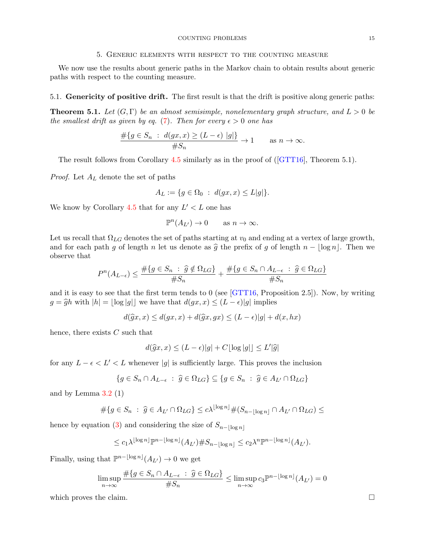#### COUNTING PROBLEMS 15

#### 5. Generic elements with respect to the counting measure

<span id="page-14-0"></span>We now use the results about generic paths in the Markov chain to obtain results about generic paths with respect to the counting measure.

#### 5.1. Genericity of positive drift. The first result is that the drift is positive along generic paths:

<span id="page-14-1"></span>**Theorem 5.1.** Let  $(G, \Gamma)$  be an almost semisimple, nonelementary graph structure, and  $L > 0$  be the smallest drift as given by eq. [\(7\)](#page-13-0). Then for every  $\epsilon > 0$  one has

$$
\frac{\#\{g \in S_n : d(gx, x) \ge (L - \epsilon) \mid g\}\}}{\#S_n} \to 1 \quad \text{as } n \to \infty.
$$

The result follows from Corollary [4.5](#page-13-1) similarly as in the proof of([\[GTT16\]](#page-35-6), Theorem 5.1).

*Proof.* Let  $A_L$  denote the set of paths

$$
A_L := \{ g \in \Omega_0 \; : \; d(gx, x) \le L|g| \}.
$$

We know by Corollary [4.5](#page-13-1) that for any  $L' < L$  one has

$$
\mathbb{P}^n(A_{L'}) \to 0 \quad \text{as } n \to \infty.
$$

Let us recall that  $\Omega_{LG}$  denotes the set of paths starting at  $v_0$  and ending at a vertex of large growth, and for each path g of length n let us denote as  $\hat{g}$  the prefix of g of length  $n - \lfloor \log n \rfloor$ . Then we observe that

$$
P^{n}(A_{L-\epsilon}) \le \frac{\#\{g \in S_n \ : \ \widehat{g} \notin \Omega_{LG}\}}{\#S_n} + \frac{\#\{g \in S_n \cap A_{L-\epsilon} \ : \ \widehat{g} \in \Omega_{LG}\}}{\#S_n}
$$

and it is easy to see that the first term tends to 0 (see  $[GTT16,$  Proposition 2.5). Now, by writing  $g = \hat{g}h$  with  $|h| = \lfloor \log |g| \rfloor$  we have that  $d(gx, x) \leq (L - \epsilon)|g|$  implies

$$
d(\widehat{g}x, x) \le d(gx, x) + d(\widehat{g}x, gx) \le (L - \epsilon)|g| + d(x, hx)
$$

hence, there exists  $C$  such that

$$
d(\widehat{g}x, x) \le (L - \epsilon)|g| + C\lfloor \log |g| \rfloor \le L'|\widehat{g}|
$$

for any  $L - \epsilon < L' < L$  whenever |g| is sufficiently large. This proves the inclusion

$$
\{g \in S_n \cap A_{L-\epsilon} : \hat{g} \in \Omega_{LG}\} \subseteq \{g \in S_n : \hat{g} \in A_{L'} \cap \Omega_{LG}\}\
$$

and by Lemma  $3.2(1)$  $3.2(1)$ 

$$
#\{g \in S_n : \hat{g} \in A_{L'} \cap \Omega_{LG}\} \le c\lambda^{\lfloor \log n \rfloor} \#(S_{n-\lfloor \log n \rfloor} \cap A_{L'} \cap \Omega_{LG}) \le
$$

hence by equation [\(3\)](#page-9-2) and considering the size of  $S_{n-|\log n|}$ 

$$
\leq c_1 \lambda^{\lfloor \log n \rfloor} \mathbb{P}^{n-\lfloor \log n \rfloor} (A_{L'}) \# S_{n-\lfloor \log n \rfloor} \leq c_2 \lambda^n \mathbb{P}^{n-\lfloor \log n \rfloor} (A_{L'}).
$$

Finally, using that  $\mathbb{P}^{n-\lfloor \log n \rfloor}(A_{L'}) \to 0$  we get

$$
\limsup_{n\to\infty}\frac{\#\{g\in S_n\cap A_{L-\epsilon}\;:\;\widehat{g}\in \Omega_{LG}\}}{\#S_n}\leq \limsup_{n\to\infty}c_3\mathbb{P}^{n-\lfloor\log n\rfloor}(A_{L'})=0
$$

which proves the claim.  $\Box$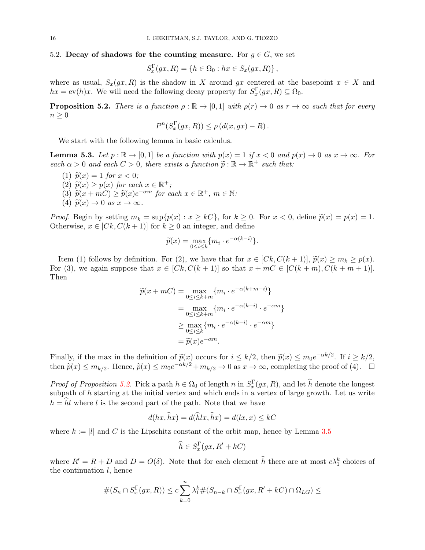### 5.2. Decay of shadows for the counting measure. For  $q \in G$ , we set

$$
S_x^{\Gamma}(gx, R) = \{ h \in \Omega_0 : hx \in S_x(gx, R) \},
$$

where as usual,  $S_x(gx, R)$  is the shadow in X around gx centered at the basepoint  $x \in X$  and  $hx = \text{ev}(h)x$ . We will need the following decay property for  $S_x^{\Gamma}(gx, R) \subseteq \Omega_0$ .

<span id="page-15-0"></span>**Proposition 5.2.** There is a function  $\rho : \mathbb{R} \to [0,1]$  with  $\rho(r) \to 0$  as  $r \to \infty$  such that for every  $n \geq 0$ 

$$
P^{n}(S_x^{\Gamma}(gx, R)) \le \rho (d(x, gx) - R).
$$

We start with the following lemma in basic calculus.

<span id="page-15-1"></span>**Lemma 5.3.** Let  $p : \mathbb{R} \to [0,1]$  be a function with  $p(x) = 1$  if  $x < 0$  and  $p(x) \to 0$  as  $x \to \infty$ . For each  $\alpha > 0$  and each  $C > 0$ , there exists a function  $\tilde{p} : \mathbb{R} \to \mathbb{R}^+$  such that:

- (1)  $\tilde{p}(x) = 1$  for  $x < 0$ ;
- (2)  $\tilde{p}(x) \geq p(x)$  for each  $x \in \mathbb{R}^+$ ;<br>(3)  $\tilde{p}(x + mC) \geq \tilde{p}(x)e^{-\alpha m}$  for e
- (3)  $\widetilde{p}(x + mC) \geq \widetilde{p}(x)e^{-\alpha m}$  for each  $x \in \mathbb{R}^+$ ,  $m \in \mathbb{N}$ :<br>(4)  $\widetilde{p}(x) \to 0$  as  $x \to \infty$
- (4)  $\widetilde{p}(x) \rightarrow 0$  as  $x \rightarrow \infty$ .

*Proof.* Begin by setting  $m_k = \sup\{p(x) : x \ge kC\}$ , for  $k \ge 0$ . For  $x < 0$ , define  $\tilde{p}(x) = p(x) = 1$ . Otherwise,  $x \in [Ck, C(k+1)]$  for  $k \ge 0$  an integer, and define

$$
\widetilde{p}(x) = \max_{0 \le i \le k} \{ m_i \cdot e^{-\alpha(k-i)} \}.
$$

Item (1) follows by definition. For (2), we have that for  $x \in [Ck, C(k+1)], \tilde{p}(x) \ge m_k \ge p(x)$ . For (3), we again suppose that  $x \in [Ck, C(k+1)]$  so that  $x + mC \in [C(k+m), C(k+m+1)]$ . Then

$$
\widetilde{p}(x+mC) = \max_{0 \le i \le k+m} \{m_i \cdot e^{-\alpha(k+m-i)}\}
$$
\n
$$
= \max_{0 \le i \le k+m} \{m_i \cdot e^{-\alpha(k-i)} \cdot e^{-\alpha m}\}
$$
\n
$$
\ge \max_{0 \le i \le k} \{m_i \cdot e^{-\alpha(k-i)} \cdot e^{-\alpha m}\}
$$
\n
$$
= \widetilde{p}(x)e^{-\alpha m}.
$$

Finally, if the max in the definition of  $\tilde{p}(x)$  occurs for  $i \leq k/2$ , then  $\tilde{p}(x) \leq m_0 e^{-\alpha k/2}$ . If  $i \geq k/2$ , then  $\tilde{p}(x) \leq m$ , Hence  $\tilde{p}(x) \leq m_0 e^{-\alpha k/2}$ ,  $m_0 \geq 0$  as  $x \to 0$  as completing the proof of then  $\tilde{p}(x) \le m_{k/2}$ . Hence,  $\tilde{p}(x) \le m_0 e^{-\alpha k/2} + m_{k/2} \to 0$  as  $x \to \infty$ , completing the proof of (4).  $\Box$ 

*Proof of Proposition [5.2.](#page-15-0)* Pick a path  $h \in \Omega_0$  of length n in  $S_x^{\Gamma}(gx, R)$ , and let  $\hat{h}$  denote the longest subpath of  $h$  starting at the initial vertex and which ends in a vertex of large growth. Let us write  $h = hl$  where l is the second part of the path. Note that we have

$$
d(hx, hx) = d(hlx, hx) = d(lx, x) \le kC
$$

where  $k := |l|$  and C is the Lipschitz constant of the orbit map, hence by Lemma [3.5](#page-11-2)

$$
\widehat{h} \in S_x^{\Gamma}(gx, R' + kC)
$$

where  $R' = R + D$  and  $D = O(\delta)$ . Note that for each element  $\hat{h}$  there are at most  $c\lambda_1^k$  choices of the continuation  $l$ , hence

#(S<sup>n</sup> ∩ S Γ x (gx, R)) ≤ c Xn k=0 λ k <sup>1</sup>#(Sn−<sup>k</sup> ∩ S Γ x (gx, R<sup>0</sup> + kC) ∩ ΩLG) ≤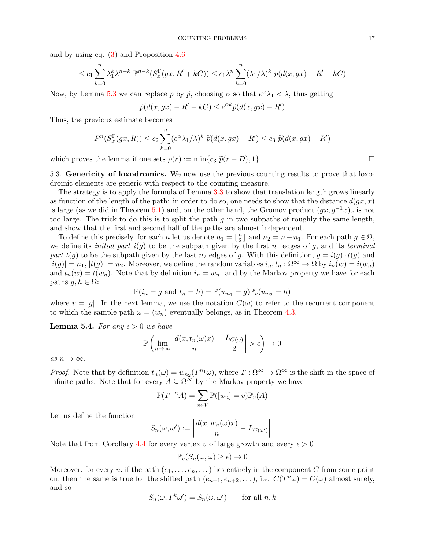and by using eq. [\(3\)](#page-9-2) and Proposition [4.6](#page-13-2)

$$
\leq c_1 \sum_{k=0}^n \lambda_1^k \lambda^{n-k} \ \mathbb{P}^{n-k}(S_x^{\Gamma}(gx, R' + kC)) \leq c_1 \lambda^n \sum_{k=0}^n (\lambda_1/\lambda)^k \ p(d(x, gx) - R' - kC)
$$

Now, by Lemma [5.3](#page-15-1) we can replace p by  $\tilde{p}$ , choosing  $\alpha$  so that  $e^{\alpha}\lambda_1 < \lambda$ , thus getting

$$
\widetilde{p}(d(x,gx) - R' - kC) \le e^{\alpha k} \widetilde{p}(d(x,gx) - R')
$$

Thus, the previous estimate becomes

$$
P^{n}(S_{x}^{\Gamma}(gx, R)) \leq c_{2} \sum_{k=0}^{n} (e^{\alpha} \lambda_{1}/\lambda)^{k} \widetilde{p}(d(x, gx) - R') \leq c_{3} \widetilde{p}(d(x, gx) - R')
$$

which proves the lemma if one sets  $\rho(r) := \min\{c_3 \widetilde{p}(r - D), 1\}.$ 

5.3. Genericity of loxodromics. We now use the previous counting results to prove that loxodromic elements are generic with respect to the counting measure.

The strategy is to apply the formula of Lemma [3.3](#page-10-1) to show that translation length grows linearly as function of the length of the path: in order to do so, one needs to show that the distance  $d(gx, x)$ is large (as we did in Theorem [5.1\)](#page-14-1) and, on the other hand, the Gromov product  $(gx, g^{-1}x)_x$  is not too large. The trick to do this is to split the path  $q$  in two subpaths of roughly the same length, and show that the first and second half of the paths are almost independent.

To define this precisely, for each *n* let us denote  $n_1 = \lfloor \frac{n}{2} \rfloor$  $\frac{n}{2}$  and  $n_2 = n - n_1$ . For each path  $g \in \Omega$ , we define its *initial part*  $i(g)$  to be the subpath given by the first  $n_1$  edges of g, and its *terminal* part  $t(g)$  to be the subpath given by the last  $n_2$  edges of g. With this definition,  $g = i(g) \cdot t(g)$  and  $|i(g)| = n_1, |t(g)| = n_2$ . Moreover, we define the random variables  $i_n, t_n : \Omega^{\infty} \to \Omega$  by  $i_n(w) = i(w_n)$ and  $t_n(w) = t(w_n)$ . Note that by definition  $i_n = w_{n_1}$  and by the Markov property we have for each paths *g*, *h* ∈ Ω:

$$
\mathbb{P}(i_n = g \text{ and } t_n = h) = \mathbb{P}(w_{n_1} = g)\mathbb{P}_v(w_{n_2} = h)
$$

where  $v = [g]$ . In the next lemma, we use the notation  $C(\omega)$  to refer to the recurrent component to which the sample path  $\omega = (w_n)$  eventually belongs, as in Theorem [4.3.](#page-12-1)

<span id="page-16-0"></span>**Lemma 5.4.** For any  $\epsilon > 0$  we have

$$
\mathbb{P}\left(\lim_{n\to\infty}\left|\frac{d(x,t_n(\omega)x)}{n}-\frac{L_{C(\omega)}}{2}\right|>\epsilon\right)\to 0
$$

as  $n \to \infty$ .

*Proof.* Note that by definition  $t_n(\omega) = w_{n_2}(T^{n_1}\omega)$ , where  $T : \Omega^{\infty} \to \Omega^{\infty}$  is the shift in the space of infinite paths. Note that for every  $A \subseteq \Omega^{\infty}$  by the Markov property we have

$$
\mathbb{P}(T^{-n}A) = \sum_{v \in V} \mathbb{P}([w_n] = v)\mathbb{P}_v(A)
$$

Let us define the function

$$
S_n(\omega,\omega') := \left| \frac{d(x, w_n(\omega)x)}{n} - L_{C(\omega')} \right|.
$$

Note that from Corollary [4.4](#page-13-3) for every vertex v of large growth and every  $\epsilon > 0$ 

$$
\mathbb{P}_v(S_n(\omega,\omega)\geq\epsilon)\to 0
$$

Moreover, for every n, if the path  $(e_1, \ldots, e_n, \ldots)$  lies entirely in the component C from some point on, then the same is true for the shifted path  $(e_{n+1}, e_{n+2}, \ldots)$ , i.e.  $C(T^n \omega) = C(\omega)$  almost surely, and so

$$
S_n(\omega, T^k \omega') = S_n(\omega, \omega') \qquad \text{for all } n, k
$$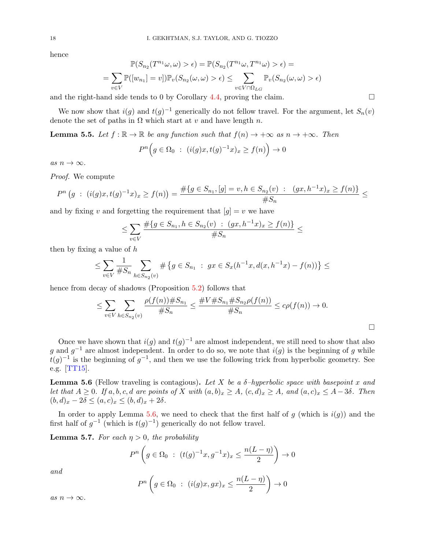hence

$$
\mathbb{P}(S_{n_2}(T^{n_1}\omega,\omega) > \epsilon) = \mathbb{P}(S_{n_2}(T^{n_1}\omega,T^{n_1}\omega) > \epsilon) =
$$
  
= 
$$
\sum_{v \in V} \mathbb{P}([w_{n_1}] = v]) \mathbb{P}_v(S_{n_2}(\omega,\omega) > \epsilon) \le \sum_{v \in V \cap \Omega_{LG}} \mathbb{P}_v(S_{n_2}(\omega,\omega) > \epsilon)
$$

and the right-hand side tends to 0 by Corollary [4.4,](#page-13-3) proving the claim.

We now show that  $i(g)$  and  $t(g)^{-1}$  generically do not fellow travel. For the argument, let  $S_n(v)$ denote the set of paths in  $\Omega$  which start at v and have length n.

<span id="page-17-1"></span>**Lemma 5.5.** Let  $f : \mathbb{R} \to \mathbb{R}$  be any function such that  $f(n) \to +\infty$  as  $n \to +\infty$ . Then

$$
P^{n}\Big(g \in \Omega_{0} \ : \ (i(g)x, t(g)^{-1}x)_{x} \ge f(n)\Big) \to 0
$$

as  $n \to \infty$ .

Proof. We compute

$$
P^{n}(g : (i(g)x, t(g)^{-1}x)_{x} \ge f(n)) = \frac{\#\{g \in S_{n_{1}}, [g] = v, h \in S_{n_{2}}(v) : (gx, h^{-1}x)_{x} \ge f(n)\}}{\#S_{n}} \le
$$

and by fixing v and forgetting the requirement that  $[g] = v$  we have

$$
\leq \sum_{v \in V} \frac{\#\{g \in S_{n_1}, h \in S_{n_2}(v) \ : \ (gx, h^{-1}x)_x \geq f(n)\}}{\#S_n} \leq
$$

then by fixing a value of  $h$ 

$$
\leq \sum_{v \in V} \frac{1}{\#S_n} \sum_{h \in S_{n_2}(v)} \# \{ g \in S_{n_1} : gx \in S_x(h^{-1}x, d(x, h^{-1}x) - f(n)) \} \leq
$$

hence from decay of shadows (Proposition [5.2\)](#page-15-0) follows that

$$
\leq \sum_{v \in V} \sum_{h \in S_{n_2}(v)} \frac{\rho(f(n)) \# S_{n_1}}{\# S_n} \leq \frac{\# V \# S_{n_1} \# S_{n_2} \rho(f(n))}{\# S_n} \leq c \rho(f(n)) \to 0.
$$

 $\Box$ 

Once we have shown that  $i(g)$  and  $t(g)^{-1}$  are almost independent, we still need to show that also g and  $g^{-1}$  are almost independent. In order to do so, we note that  $i(g)$  is the beginning of g while  $t(g)^{-1}$  is the beginning of  $g^{-1}$ , and then we use the following trick from hyperbolic geometry. See e.g. [\[TT15\]](#page-36-12).

<span id="page-17-0"></span>**Lemma 5.6** (Fellow traveling is contagious). Let X be a  $\delta$ -hyperbolic space with basepoint x and let that  $A \geq 0$ . If  $a, b, c, d$  are points of X with  $(a, b)_x \geq A$ ,  $(c, d)_x \geq A$ , and  $(a, c)_x \leq A - 3\delta$ . Then  $(b, d)_x - 2\delta \leq (a, c)_x \leq (b, d)_x + 2\delta.$ 

In order to apply Lemma [5.6,](#page-17-0) we need to check that the first half of g (which is  $i(g)$ ) and the first half of  $g^{-1}$  (which is  $t(g)^{-1}$ ) generically do not fellow travel.

<span id="page-17-2"></span>**Lemma 5.7.** For each  $\eta > 0$ , the probability

$$
P^{n}\left(g \in \Omega_{0} : (t(g)^{-1}x, g^{-1}x)_{x} \le \frac{n(L - \eta)}{2}\right) \to 0
$$

and

$$
P^{n}\left(g \in \Omega_{0} : (i(g)x, gx)_{x} \leq \frac{n(L - \eta)}{2}\right) \to 0
$$

as  $n \to \infty$ .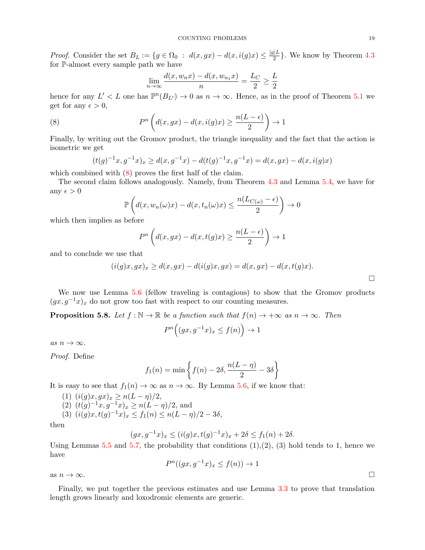*Proof.* Consider the set  $B_L := \{ g \in \Omega_0 : d(x, gx) - d(x, i(g)x) \leq \frac{|g|L}{2} \}$  $\frac{2}{2}$ . We know by Theorem [4.3](#page-12-1) for P-almost every sample path we have

<span id="page-18-0"></span>
$$
\lim_{n \to \infty} \frac{d(x, w_n x) - d(x, w_{n_1} x)}{n} = \frac{L_C}{2} \ge \frac{L}{2}
$$

hence for any  $L' < L$  one has  $\mathbb{P}^n(B_{L'}) \to 0$  as  $n \to \infty$ . Hence, as in the proof of Theorem [5.1](#page-14-1) we get for any  $\epsilon > 0$ ,

(8) 
$$
P^{n}\left(d(x,gx)-d(x,i(g)x)\geq \frac{n(L-\epsilon)}{2}\right)\to 1
$$

Finally, by writing out the Gromov product, the triangle inequality and the fact that the action is isometric we get

$$
(t(g)^{-1}x, g^{-1}x)_x \ge d(x, g^{-1}x) - d(t(g)^{-1}x, g^{-1}x) = d(x, gx) - d(x, i(g)x)
$$

which combined with  $(8)$  proves the first half of the claim.

The second claim follows analogously. Namely, from Theorem [4.3](#page-12-1) and Lemma [5.4,](#page-16-0) we have for any  $\epsilon > 0$ 

$$
\mathbb{P}\left(d(x, w_n(\omega)x) - d(x, t_n(\omega)x) \le \frac{n(L_{C(\omega)} - \epsilon)}{2}\right) \to 0
$$

which then implies as before

$$
P^{n}\left(d(x,gx) - d(x,t(g)x) \ge \frac{n(L-\epsilon)}{2}\right) \to 1
$$

and to conclude we use that

$$
(i(g)x, gx)_x \ge d(x, gx) - d(i(g)x, gx) = d(x, gx) - d(x, t(g)x).
$$

We now use Lemma [5.6](#page-17-0) (fellow traveling is contagious) to show that the Gromov products  $(gx, g^{-1}x)_x$  do not grow too fast with respect to our counting measures.

<span id="page-18-1"></span>**Proposition 5.8.** Let  $f : \mathbb{N} \to \mathbb{R}$  be a function such that  $f(n) \to +\infty$  as  $n \to \infty$ . Then

$$
P^{n}\Big((gx, g^{-1}x)_{x} \le f(n)\Big) \to 1
$$

as  $n \to \infty$ .

Proof. Define

$$
f_1(n) = \min\left\{f(n) - 2\delta, \frac{n(L - \eta)}{2} - 3\delta\right\}
$$

It is easy to see that  $f_1(n) \to \infty$  as  $n \to \infty$ . By Lemma [5.6,](#page-17-0) if we know that:

- (1)  $(i(g)x, gx)_x \geq n(L \eta)/2$ , (2)  $(t(g)^{-1}x, g^{-1}x)_x \ge n(L - \eta)/2$ , and
- (3)  $(i(g)x, t(g)^{-1}x)_x \le f_1(n) \le n(L \eta)/2 3\delta,$

then

$$
(gx, g^{-1}x)_x \le (i(g)x, t(g)^{-1}x)_x + 2\delta \le f_1(n) + 2\delta.
$$

Using Lemmas  $5.5$  and  $5.7$ , the probability that conditions  $(1),(2),(3)$  hold tends to 1, hence we have

$$
P^n((gx, g^{-1}x)_x \le f(n)) \to 1
$$

as  $n \to \infty$ .

Finally, we put together the previous estimates and use Lemma [3.3](#page-10-1) to prove that translation length grows linearly and loxodromic elements are generic.

 $\Box$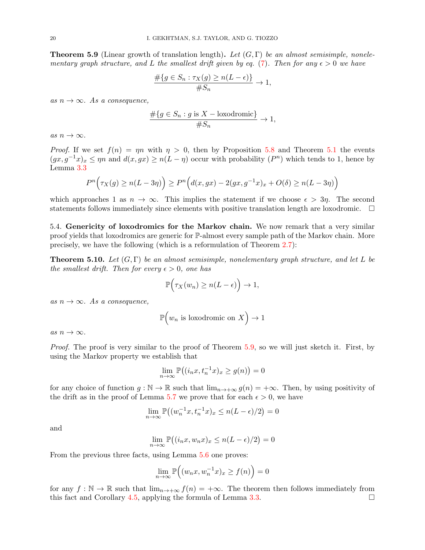<span id="page-19-0"></span>**Theorem 5.9** (Linear growth of translation length). Let  $(G, \Gamma)$  be an almost semisimple, nonele-mentary graph structure, and L the smallest drift given by eq. [\(7\)](#page-13-0). Then for any  $\epsilon > 0$  we have

$$
\frac{\#\{g\in S_n:\tau_X(g)\geq n(L-\epsilon)\}}{\#S_n}\to 1,
$$

as  $n \to \infty$ . As a consequence,

$$
\frac{\#\{g \in S_n : g \text{ is } X - \text{loxodromic}\}}{\#S_n} \to 1,
$$

as  $n \to \infty$ .

*Proof.* If we set  $f(n) = \eta n$  with  $\eta > 0$ , then by Proposition [5.8](#page-18-1) and Theorem [5.1](#page-14-1) the events  $(gx, g^{-1}x)_x \le \eta n$  and  $d(x, gx) \ge n(L - \eta)$  occur with probability  $(P^n)$  which tends to 1, hence by Lemma [3.3](#page-10-1)

$$
P^{n}\Big(\tau_{X}(g) \ge n(L-3\eta)\Big) \ge P^{n}\Big(d(x,gx) - 2(gx,g^{-1}x)_{x} + O(\delta) \ge n(L-3\eta)\Big)
$$

which approaches 1 as  $n \to \infty$ . This implies the statement if we choose  $\epsilon > 3\eta$ . The second statements follows immediately since elements with positive translation length are loxodromic.  $\Box$ 

5.4. Genericity of loxodromics for the Markov chain. We now remark that a very similar proof yields that loxodromics are generic for P-almost every sample path of the Markov chain. More precisely, we have the following (which is a reformulation of Theorem [2.7\)](#page-6-0):

**Theorem 5.10.** Let  $(G, \Gamma)$  be an almost semisimple, nonelementary graph structure, and let L be the smallest drift. Then for every  $\epsilon > 0$ , one has

$$
\mathbb{P}\Big(\tau_X(w_n)\geq n(L-\epsilon)\Big)\to 1,
$$

as  $n \to \infty$ . As a consequence,

$$
\mathbb{P}\Big(w_n \text{ is loxodromic on } X\Big) \to 1
$$

as  $n \to \infty$ .

Proof. The proof is very similar to the proof of Theorem [5.9,](#page-19-0) so we will just sketch it. First, by using the Markov property we establish that

$$
\lim_{n \to \infty} \mathbb{P}\big((i_n x, t_n^{-1} x)_x \ge g(n)\big) = 0
$$

for any choice of function  $g : \mathbb{N} \to \mathbb{R}$  such that  $\lim_{n \to +\infty} g(n) = +\infty$ . Then, by using positivity of the drift as in the proof of Lemma [5.7](#page-17-2) we prove that for each  $\epsilon > 0$ , we have

$$
\lim_{n \to \infty} \mathbb{P}\left( (w_n^{-1}x, t_n^{-1}x)_x \le n(L - \epsilon)/2 \right) = 0
$$

and

$$
\lim_{n \to \infty} \mathbb{P} \big( (i_n x, w_n x)_x \le n(L - \epsilon)/2 \big) = 0
$$

From the previous three facts, using Lemma [5.6](#page-17-0) one proves:

$$
\lim_{n \to \infty} \mathbb{P}\Big( (w_n x, w_n^{-1} x)_x \ge f(n) \Big) = 0
$$

for any  $f : \mathbb{N} \to \mathbb{R}$  such that  $\lim_{n \to +\infty} f(n) = +\infty$ . The theorem then follows immediately from this fact and Corollary [4.5,](#page-13-1) applying the formula of Lemma [3.3.](#page-10-1)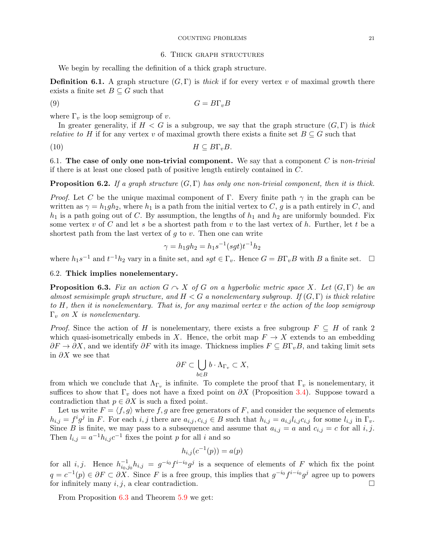#### COUNTING PROBLEMS 21

#### 6. Thick graph structures

We begin by recalling the definition of a thick graph structure.

**Definition 6.1.** A graph structure  $(G, \Gamma)$  is *thick* if for every vertex v of maximal growth there exists a finite set  $B \subseteq G$  such that

$$
(9) \tG = B\Gamma_v B
$$

where  $\Gamma_v$  is the loop semigroup of v.

In greater generality, if  $H < G$  is a subgroup, we say that the graph structure  $(G, \Gamma)$  is thick *relative to H* if for any vertex v of maximal growth there exists a finite set  $B \subseteq G$  such that

(10)  $H \subseteq B\Gamma_v B$ .

6.1. The case of only one non-trivial component. We say that a component  $C$  is non-trivial if there is at least one closed path of positive length entirely contained in C.

<span id="page-20-1"></span>**Proposition 6.2.** If a graph structure  $(G, \Gamma)$  has only one non-trivial component, then it is thick.

*Proof.* Let C be the unique maximal component of Γ. Every finite path  $\gamma$  in the graph can be written as  $\gamma = h_1gh_2$ , where  $h_1$  is a path from the initial vertex to C, g is a path entirely in C, and  $h_1$  is a path going out of C. By assumption, the lengths of  $h_1$  and  $h_2$  are uniformly bounded. Fix some vertex v of C and let s be a shortest path from v to the last vertex of h. Further, let t be a shortest path from the last vertex of  $q$  to  $v$ . Then one can write

$$
\gamma = h_1gh_2 = h_1s^{-1}(sgt)t^{-1}h_2
$$

where  $h_1s^{-1}$  and  $t^{-1}h_2$  vary in a finite set, and  $sgt \in \Gamma_v$ . Hence  $G = B\Gamma_vB$  with B a finite set.  $\Box$ 

### 6.2. Thick implies nonelementary.

<span id="page-20-0"></span>**Proposition 6.3.** Fix an action  $G \sim X$  of G on a hyperbolic metric space X. Let  $(G, \Gamma)$  be an almost semisimple graph structure, and  $H < G$  a nonelementary subgroup. If  $(G, \Gamma)$  is thick relative to H, then it is nonelementary. That is, for any maximal vertex v the action of the loop semigroup  $\Gamma_v$  on X is nonelementary.

*Proof.* Since the action of H is nonelementary, there exists a free subgroup  $F \subseteq H$  of rank 2 which quasi-isometrically embeds in X. Hence, the orbit map  $F \to X$  extends to an embedding  $\partial F \to \partial X$ , and we identify  $\partial F$  with its image. Thickness implies  $F \subseteq B\Gamma_vB$ , and taking limit sets in  $\partial X$  we see that

$$
\partial F \subset \bigcup_{b \in B} b \cdot \Lambda_{\Gamma_v} \subset X,
$$

from which we conclude that  $\Lambda_{\Gamma_v}$  is infinite. To complete the proof that  $\Gamma_v$  is nonelementary, it suffices to show that  $\Gamma_v$  does not have a fixed point on  $\partial X$  (Proposition [3.4\)](#page-11-3). Suppose toward a contradiction that  $p \in \partial X$  is such a fixed point.

Let us write  $F = \langle f, g \rangle$  where f, g are free generators of F, and consider the sequence of elements  $h_{i,j} = f^i g^j$  in F. For each  $i, j$  there are  $a_{i,j}, c_{i,j} \in B$  such that  $h_{i,j} = a_{i,j} l_{i,j} c_{i,j}$  for some  $l_{i,j}$  in  $\Gamma_v$ . Since B is finite, we may pass to a subsequence and assume that  $a_{i,j} = a$  and  $c_{i,j} = c$  for all i, j. Then  $l_{i,j} = a^{-1} h_{i,j} c^{-1}$  fixes the point p for all i and so

$$
h_{i,j}(c^{-1}(p)) = a(p)
$$

for all i, j. Hence  $h_{i_0,j_0}^{-1}h_{i,j} = g^{-i_0}f^{i-i_0}g^j$  is a sequence of elements of F which fix the point  $q = c^{-1}(p) \in \partial F \subset \partial X$ . Since F is a free group, this implies that  $g^{-i_0} f^{i-i_0} g^j$  agree up to powers for infinitely many  $i, j$ , a clear contradiction.

From Proposition [6.3](#page-20-0) and Theorem [5.9](#page-19-0) we get: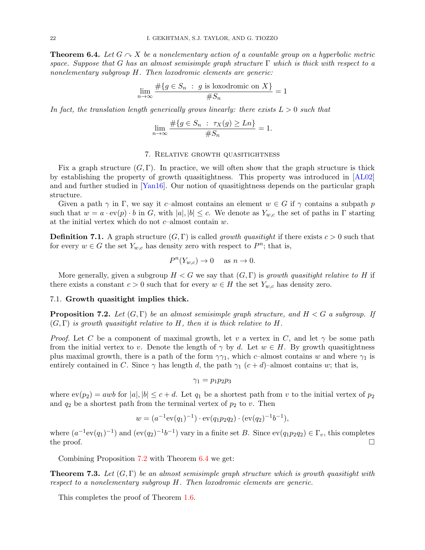<span id="page-21-1"></span>**Theorem 6.4.** Let  $G \sim X$  be a nonelementary action of a countable group on a hyperbolic metric space. Suppose that G has an almost semisimple graph structure  $\Gamma$  which is thick with respect to a nonelementary subgroup H. Then loxodromic elements are generic:

$$
\lim_{n \to \infty} \frac{\#\{g \in S_n : g \text{ is loxodromic on } X\}}{\#S_n} = 1
$$

In fact, the translation length generically grows linearly: there exists  $L > 0$  such that

$$
\lim_{n \to \infty} \frac{\#\{g \in S_n : \tau_X(g) \ge Ln\}}{\#S_n} = 1.
$$

# 7. Relative growth quasitightness

Fix a graph structure  $(G, \Gamma)$ . In practice, we will often show that the graph structure is thick by establishing the property of growth quasitightness. This property was introduced in [\[AL02\]](#page-34-4) and and further studied in [\[Yan16\]](#page-36-6). Our notion of quasitightness depends on the particular graph structure.

Given a path  $\gamma$  in Γ, we say it c–almost contains an element  $w \in G$  if  $\gamma$  contains a subpath p such that  $w = a \cdot \text{ev}(p) \cdot b$  in G, with  $|a|, |b| \leq c$ . We denote as  $Y_{w,c}$  the set of paths in  $\Gamma$  starting at the initial vertex which do not  $c$ –almost contain  $w$ .

**Definition 7.1.** A graph structure  $(G, \Gamma)$  is called *growth quasitight* if there exists  $c > 0$  such that for every  $w \in G$  the set  $Y_{w,c}$  has density zero with respect to  $P^n$ ; that is,

$$
P^n(Y_{w,c}) \to 0 \quad \text{ as } n \to 0.
$$

More generally, given a subgroup  $H < G$  we say that  $(G, \Gamma)$  is growth quasitight relative to H if there exists a constant  $c > 0$  such that for every  $w \in H$  the set  $Y_{w,c}$  has density zero.

## 7.1. Growth quasitight implies thick.

<span id="page-21-0"></span>**Proposition 7.2.** Let  $(G, \Gamma)$  be an almost semisimple graph structure, and  $H < G$  a subgroup. If  $(G, \Gamma)$  is growth quasitight relative to H, then it is thick relative to H.

*Proof.* Let C be a component of maximal growth, let v a vertex in C, and let  $\gamma$  be some path from the initial vertex to v. Denote the length of  $\gamma$  by d. Let  $w \in H$ . By growth quasitightness plus maximal growth, there is a path of the form  $\gamma_{1}$ , which c–almost contains w and where  $\gamma_{1}$  is entirely contained in C. Since  $\gamma$  has length d, the path  $\gamma_1$  (c+d)–almost contains w; that is,

$$
\gamma_1=p_1p_2p_3
$$

where  $ev(p_2) = awb$  for  $|a|, |b| \leq c + d$ . Let  $q_1$  be a shortest path from v to the initial vertex of  $p_2$ and  $q_2$  be a shortest path from the terminal vertex of  $p_2$  to v. Then

$$
w = (a^{-1}ev(q_1)^{-1}) \cdot ev(q_1p_2q_2) \cdot (ev(q_2)^{-1}b^{-1}),
$$

where  $(a^{-1}ev(q_1)^{-1})$  and  $(ev(q_2)^{-1}b^{-1})$  vary in a finite set B. Since  $ev(q_1p_2q_2) \in \Gamma_v$ , this completes the proof.  $\Box$ 

Combining Proposition [7.2](#page-21-0) with Theorem [6.4](#page-21-1) we get:

**Theorem 7.3.** Let  $(G, \Gamma)$  be an almost semisimple graph structure which is growth quasitight with respect to a nonelementary subgroup H. Then loxodromic elements are generic.

This completes the proof of Theorem [1.6.](#page-3-1)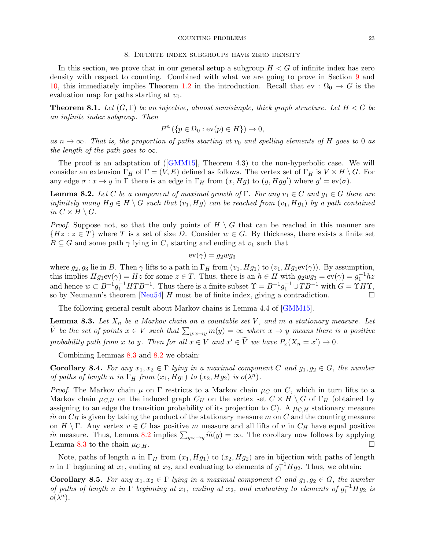#### COUNTING PROBLEMS 23

#### 8. Infinite index subgroups have zero density

In this section, we prove that in our general setup a subgroup  $H < G$  of infinite index has zero density with respect to counting. Combined with what we are going to prove in Section [9](#page-23-0) and [10,](#page-29-0) this immediately implies Theorem [1.2](#page-1-2) in the introduction. Recall that ev :  $\Omega_0 \to G$  is the evaluation map for paths starting at  $v_0$ .

<span id="page-22-2"></span>**Theorem 8.1.** Let  $(G, \Gamma)$  be an injective, almost semisimple, thick graph structure. Let  $H < G$  be an infinite index subgroup. Then

$$
P^n \left( \{ p \in \Omega_0 : \text{ev}(p) \in H \} \right) \to 0,
$$

as  $n \to \infty$ . That is, the proportion of paths starting at  $v_0$  and spelling elements of H goes to 0 as the length of the path goes to  $\infty$ .

The proof is an adaptation of([\[GMM15\]](#page-35-7), Theorem 4.3) to the non-hyperbolic case. We will consider an extension  $\Gamma_H$  of  $\Gamma = (V, E)$  defined as follows. The vertex set of  $\Gamma_H$  is  $V \times H \setminus G$ . For any edge  $\sigma: x \to y$  in  $\Gamma$  there is an edge in  $\Gamma_H$  from  $(x, Hg)$  to  $(y, Hgg')$  where  $g' = \text{ev}(\sigma)$ .

<span id="page-22-1"></span>**Lemma 8.2.** Let C be a component of maximal growth of  $\Gamma$ . For any  $v_1 \in C$  and  $g_1 \in G$  there are infinitely many  $Hq \in H \backslash G$  such that  $(v_1, Hq)$  can be reached from  $(v_1, Hq_1)$  by a path contained in  $C \times H \setminus G$ .

*Proof.* Suppose not, so that the only points of  $H \setminus G$  that can be reached in this manner are  $\{Hz : z \in T\}$  where T is a set of size D. Consider  $w \in G$ . By thickness, there exists a finite set  $B \subseteq G$  and some path  $\gamma$  lying in C, starting and ending at  $v_1$  such that

$$
\mathrm{ev}(\gamma)=g_2wg_3
$$

where  $g_2, g_3$  lie in B. Then  $\gamma$  lifts to a path in  $\Gamma_H$  from  $(v_1, Hg_1)$  to  $(v_1, Hg_1ev(\gamma))$ . By assumption, this implies  $Hg_1ev(\gamma) = Hz$  for some  $z \in T$ . Thus, there is an  $h \in H$  with  $g_2wg_3 = ev(\gamma) = g_1^{-1}hz$ and hence  $w \subset B^{-1}g_1^{-1}HTB^{-1}$ . Thus there is a finite subset  $\Upsilon = B^{-1}g_1^{-1} \cup TB^{-1}$  with  $G = \Upsilon HT$ , so by Neumann's theorem [\[Neu54\]](#page-36-13) H must be of finite index, giving a contradiction.  $\square$ 

The following general result about Markov chains is Lemma 4.4 of [\[GMM15\]](#page-35-7).

<span id="page-22-0"></span>**Lemma 8.3.** Let  $X_n$  be a Markov chain on a countable set V, and m a stationary measure. Let V be the set of points  $x \in V$  such that  $\sum_{y:x\rightarrow y} m(y) = \infty$  where  $x \rightarrow y$  means there is a positive probability path from x to y. Then for all  $x \in V$  and  $x' \in \tilde{V}$  we have  $P_x(X_n = x') \to 0$ .

Combining Lemmas [8.3](#page-22-0) and [8.2](#page-22-1) we obtain:

**Corollary 8.4.** For any  $x_1, x_2 \in \Gamma$  lying in a maximal component C and  $g_1, g_2 \in G$ , the number of paths of length n in  $\Gamma_H$  from  $(x_1, Hg_1)$  to  $(x_2, Hg_2)$  is  $o(\lambda^n)$ .

*Proof.* The Markov chain  $\mu$  on  $\Gamma$  restricts to a Markov chain  $\mu_C$  on C, which in turn lifts to a Markov chain  $\mu_{C,H}$  on the induced graph  $C_H$  on the vertex set  $C \times H \setminus G$  of  $\Gamma_H$  (obtained by assigning to an edge the transition probability of its projection to C). A  $\mu_{C,H}$  stationary measure  $\tilde{m}$  on  $C_H$  is given by taking the product of the stationary measure m on C and the counting measure on  $H \setminus \Gamma$ . Any vertex  $v \in C$  has positive m measure and all lifts of v in  $C_H$  have equal positive  $\widetilde{m}$  measure. Thus, Lemma [8.2](#page-22-1) implies  $\sum_{y:x\to y} \widetilde{m}(y) = \infty$ . The corollary now follows by applying Lemma [8.3](#page-22-0) to the chain  $\mu_{C,H}$ .

Note, paths of length n in  $\Gamma_H$  from  $(x_1, Hg_1)$  to  $(x_2, Hg_2)$  are in bijection with paths of length n in Γ beginning at  $x_1$ , ending at  $x_2$ , and evaluating to elements of  $g_1^{-1}Hg_2$ . Thus, we obtain:

<span id="page-22-3"></span>Corollary 8.5. For any  $x_1, x_2 \in \Gamma$  lying in a maximal component C and  $g_1, g_2 \in G$ , the number of paths of length n in  $\Gamma$  beginning at  $x_1$ , ending at  $x_2$ , and evaluating to elements of  $g_1^{-1}Hg_2$  is  $o(\lambda^n)$ .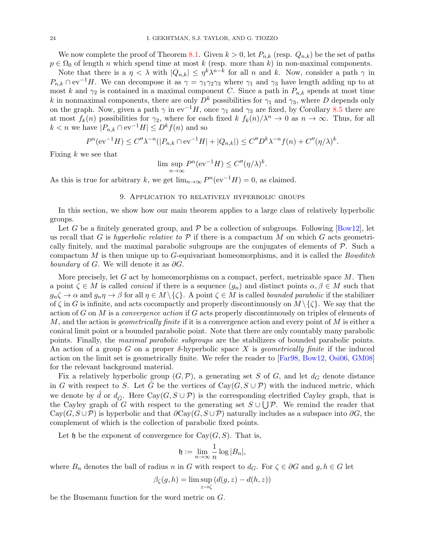We now complete the proof of Theorem [8.1.](#page-22-2) Given  $k > 0$ , let  $P_{n,k}$  (resp.  $Q_{n,k}$ ) be the set of paths  $p \in \Omega_0$  of length n which spend time at most k (resp. more than k) in non-maximal components.

Note that there is a  $\eta < \lambda$  with  $|Q_{n,k}| \leq \eta^k \lambda^{n-k}$  for all n and k. Now, consider a path  $\gamma$  in  $P_{n,k} \cap \text{ev}^{-1}H$ . We can decompose it as  $\gamma = \gamma_1 \gamma_2 \gamma_3$  where  $\gamma_1$  and  $\gamma_3$  have length adding up to at most k and  $\gamma_2$  is contained in a maximal component C. Since a path in  $P_{n,k}$  spends at most time k in nonmaximal components, there are only  $D^k$  possibilities for  $\gamma_1$  and  $\gamma_3$ , where D depends only on the graph. Now, given a path  $\gamma$  in ev<sup>-1</sup>H, once  $\gamma_1$  and  $\gamma_3$  are fixed, by Corollary [8.5](#page-22-3) there are at most  $f_k(n)$  possibilities for  $\gamma_2$ , where for each fixed  $k f_k(n)/\lambda^n \to 0$  as  $n \to \infty$ . Thus, for all  $k < n$  we have  $|P_{n,k} \cap \text{ev}^{-1}H| \leq D^k f(n)$  and so

$$
P^{n}(\mathrm{ev}^{-1}H) \le C''\lambda^{-n}(|P_{n,k} \cap \mathrm{ev}^{-1}H| + |Q_{n,k}|) \le C''D^{k}\lambda^{-n}f(n) + C''(\eta/\lambda)^{k}.
$$

Fixing  $k$  we see that

$$
\limsup_{n \to \infty} P^n(\mathrm{ev}^{-1}H) \le C''(\eta/\lambda)^k.
$$

As this is true for arbitrary k, we get  $\lim_{n\to\infty} P^n(\text{ev}^{-1}H) = 0$ , as claimed.

### 9. Application to relatively hyperbolic groups

<span id="page-23-0"></span>In this section, we show how our main theorem applies to a large class of relatively hyperbolic groups.

Let G be a finitely generated group, and  $\mathcal P$  be a collection of subgroups. Following [\[Bow12\]](#page-34-0), let us recall that G is hyperbolic relative to  $\mathcal P$  if there is a compactum M on which G acts geometrically finitely, and the maximal parabolic subgroups are the conjugates of elements of  $P$ . Such a compactum  $M$  is then unique up to  $G$ -equivariant homeomorphisms, and it is called the *Bowditch* boundary of G. We will denote it as  $\partial G$ .

More precisely, let  $G$  act by homeomorphisms on a compact, perfect, metrizable space  $M$ . Then a point  $\zeta \in M$  is called *conical* if there is a sequence  $(g_n)$  and distinct points  $\alpha, \beta \in M$  such that  $g_n \zeta \to \alpha$  and  $g_n \eta \to \beta$  for all  $\eta \in M \setminus {\zeta}$ . A point  $\zeta \in M$  is called *bounded parabolic* if the stabilizer of  $\zeta$  in G is infinite, and acts cocompactly and properly discontinuously on  $M \setminus \{\zeta\}$ . We say that the action of G on M is a *convergence action* if G acts properly discontinuously on triples of elements of M, and the action is *geometrically finite* if it is a convergence action and every point of M is either a conical limit point or a bounded parabolic point. Note that there are only countably many parabolic points. Finally, the maximal parabolic subgroups are the stabilizers of bounded parabolic points. An action of a group G on a proper  $\delta$ -hyperbolic space X is *geometrically finite* if the induced action on the limit set is geometrically finite. We refer the reader to [\[Far98,](#page-35-1) [Bow12,](#page-34-0) [Osi06,](#page-36-0) [GM08\]](#page-35-22) for the relevant background material.

Fix a relatively hyperbolic group  $(G, \mathcal{P})$ , a generating set S of G, and let  $d_G$  denote distance in G with respect to S. Let  $\hat{G}$  be the vertices of Cay( $G, S \cup P$ ) with the induced metric, which we denote by  $\hat{d}$  or  $d_{\hat{G}}$ . Here Cay( $G, S \cup P$ ) is the corresponding electrified Cayley graph, that is the Cayley graph of G with respect to the generating set  $S \cup \bigcup \mathcal{P}$ . We remind the reader that  $Cay(G, S \cup P)$  is hyperbolic and that  $\partial Cay(G, S \cup P)$  naturally includes as a subspace into  $\partial G$ , the complement of which is the collection of parabolic fixed points.

Let  $\mathfrak h$  be the exponent of convergence for  $\text{Cay}(G, S)$ . That is,

$$
\mathfrak{h} := \lim_{n \to \infty} \frac{1}{n} \log |B_n|,
$$

where  $B_n$  denotes the ball of radius n in G with respect to  $d_G$ . For  $\zeta \in \partial G$  and  $g, h \in G$  let

$$
\beta_{\zeta}(g, h) = \limsup_{z \to \zeta} (d(g, z) - d(h, z))
$$

be the Busemann function for the word metric on G.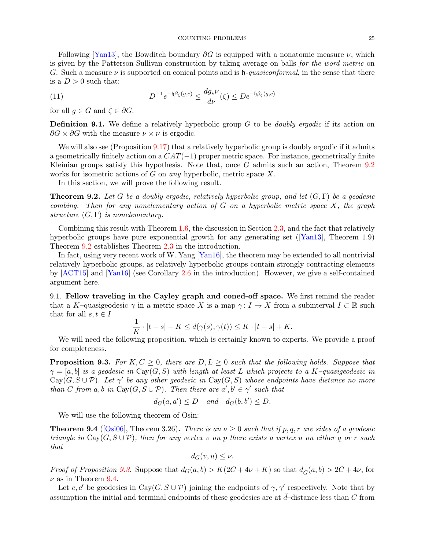Following [\[Yan13\]](#page-36-14), the Bowditch boundary  $\partial G$  is equipped with a nonatomic measure  $\nu$ , which is given by the Patterson-Sullivan construction by taking average on balls for the word metric on G. Such a measure  $\nu$  is supported on conical points and is  $\mathfrak{h}$ -quasiconformal, in the sense that there is a  $D>0$  such that:

(11) 
$$
D^{-1}e^{-\mathfrak{h}\beta_{\zeta}(g,e)} \leq \frac{dg_{\star}\nu}{d\nu}(\zeta) \leq De^{-\mathfrak{h}\beta_{\zeta}(g,e)}
$$

for all  $g \in G$  and  $\zeta \in \partial G$ .

**Definition 9.1.** We define a relatively hyperbolic group  $G$  to be *doubly ergodic* if its action on  $\partial G \times \partial G$  with the measure  $\nu \times \nu$  is ergodic.

We will also see (Proposition [9.17\)](#page-28-0) that a relatively hyperbolic group is doubly ergodic if it admits a geometrically finitely action on a  $CAT(-1)$  proper metric space. For instance, geometrically finite Kleinian groups satisfy this hypothesis. Note that, once  $G$  admits such an action, Theorem  $9.2$ works for isometric actions of G on *any* hyperbolic, metric space  $X$ .

In this section, we will prove the following result.

<span id="page-24-0"></span>**Theorem 9.2.** Let G be a doubly ergodic, relatively hyperbolic group, and let  $(G, \Gamma)$  be a geodesic combing. Then for any nonelementary action of  $G$  on a hyperbolic metric space  $X$ , the graph structure  $(G, \Gamma)$  is nonelementary.

Combining this result with Theorem [1.6,](#page-3-1) the discussion in Section [2.3,](#page-5-1) and the fact that relatively hyperbolicgroups have pure exponential growth for any generating set  $([Yan13],$  $([Yan13],$  $([Yan13],$  Theorem 1.9) Theorem [9.2](#page-24-0) establishes Theorem [2.3](#page-5-0) in the introduction.

In fact, using very recent work of W. Yang [\[Yan16\]](#page-36-6), the theorem may be extended to all nontrivial relatively hyperbolic groups, as relatively hyperbolic groups contain strongly contracting elements by [\[ACT15\]](#page-34-10) and [\[Yan16\]](#page-36-6) (see Corollary [2.6](#page-6-1) in the introduction). However, we give a self-contained argument here.

9.1. Fellow traveling in the Cayley graph and coned-off space. We first remind the reader that a K–quasigeodesic  $\gamma$  in a metric space X is a map  $\gamma: I \to X$  from a subinterval  $I \subset \mathbb{R}$  such that for all  $s, t \in I$ 

$$
\frac{1}{K} \cdot |t - s| - K \le d(\gamma(s), \gamma(t)) \le K \cdot |t - s| + K.
$$

We will need the following proposition, which is certainly known to experts. We provide a proof for completeness.

<span id="page-24-1"></span>**Proposition 9.3.** For  $K, C \geq 0$ , there are  $D, L \geq 0$  such that the following holds. Suppose that  $\gamma = [a, b]$  is a geodesic in Cay(G, S) with length at least L which projects to a K-quasigeodesic in  $Cay(G, S \cup P)$ . Let  $\gamma'$  be any other geodesic in  $Cay(G, S)$  whose endpoints have distance no more than C from a, b in Cay(G,  $S \cup P$ ). Then there are  $a', b' \in \gamma'$  such that

$$
d_G(a, a') \le D \quad and \quad d_G(b, b') \le D.
$$

We will use the following theorem of Osin:

<span id="page-24-2"></span>**Theorem 9.4** ([\[Osi06\]](#page-36-0), Theorem 3.26). There is an  $\nu > 0$  such that if p, q, r are sides of a geodesic triangle in Cay( $G, S \cup P$ ), then for any vertex v on p there exists a vertex u on either q or r such that

$$
d_G(v, u) \leq \nu.
$$

*Proof of Proposition [9.3.](#page-24-1)* Suppose that  $d_G(a, b) > K(2C + 4\nu + K)$  so that  $d_{\hat{G}}(a, b) > 2C + 4\nu$ , for  $\nu$  as in Theorem [9.4.](#page-24-2)

Let c, c' be geodesics in Cay( $G, S \cup P$ ) joining the endpoints of  $\gamma$ ,  $\gamma'$  respectively. Note that by assumption the initial and terminal endpoints of these geodesics are at  $\hat{d}$ –distance less than C from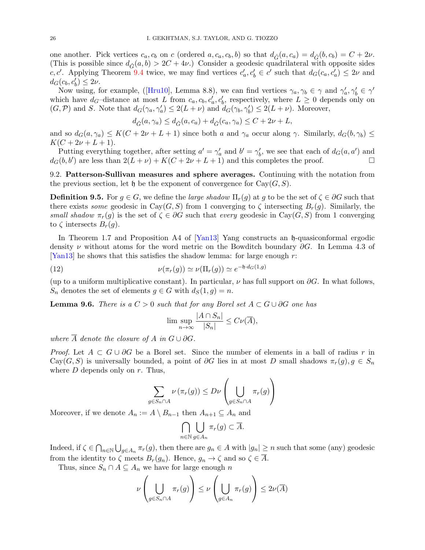one another. Pick vertices  $c_a, c_b$  on c (ordered  $a, c_a, c_b, b$ ) so that  $d_{\hat{G}}(a, c_a) = d_{\hat{G}}(b, c_b) = C + 2\nu$ . (This is possible since  $d_{\hat{G}}(a, b) > 2C + 4\nu$ .) Consider a geodesic quadrilateral with opposite sides c, c'. Applying Theorem [9.4](#page-24-2) twice, we may find vertices  $c'_a, c'_b \in c'$  such that  $d_G(c_a, c'_a) \leq 2\nu$  and  $d_G(c_b, c'_b) \leq 2\nu$ .

Nowusing, for example, ([\[Hru10\]](#page-35-23), Lemma 8.8), we can find vertices  $\gamma_a, \gamma_b \in \gamma$  and  $\gamma'_a, \gamma'_b \in \gamma'$ which have  $d_G$ -distance at most L from  $c_a, c_b, c'_a, c'_b$ , respectively, where  $L \geq 0$  depends only on  $(G,\mathcal{P})$  and S. Note that  $d_G(\gamma_a, \gamma'_a) \leq 2(L+\nu)$  and  $d_G(\gamma_b, \gamma'_b) \leq 2(L+\nu)$ . Moreover,

$$
d_{\hat{G}}(a,\gamma_a) \le d_{\hat{G}}(a,c_a) + d_{\hat{G}}(c_a,\gamma_a) \le C + 2\nu + L,
$$

and so  $d_G(a, \gamma_a) \leq K(C + 2\nu + L + 1)$  since both a and  $\gamma_a$  occur along  $\gamma$ . Similarly,  $d_G(b, \gamma_b) \leq$  $K(C + 2\nu + L + 1).$ 

Putting everything together, after setting  $a' = \gamma_a'$  and  $b' = \gamma_b'$ , we see that each of  $d_G(a, a')$  and  $d_G(b, b')$  are less than  $2(L + \nu) + K(C + 2\nu + L + 1)$  and this completes the proof.

<span id="page-25-0"></span>9.2. Patterson-Sullivan measures and sphere averages. Continuing with the notation from the previous section, let h be the exponent of convergence for  $Cay(G, S)$ .

**Definition 9.5.** For  $q \in G$ , we define the *large shadow*  $\Pi_r(q)$  at g to be the set of  $\zeta \in \partial G$  such that there exists some geodesic in Cay(G, S) from 1 converging to  $\zeta$  intersecting  $B_r(g)$ . Similarly, the small shadow  $\pi_r(g)$  is the set of  $\zeta \in \partial G$  such that every geodesic in Cay(G, S) from 1 converging to  $\zeta$  intersects  $B_r(g)$ .

In Theorem 1.7 and Proposition A4 of [\[Yan13\]](#page-36-14) Yang constructs an h-quasiconformal ergodic density  $\nu$  without atoms for the word metric on the Bowditch boundary ∂G. In Lemma 4.3 of [\[Yan13\]](#page-36-14) he shows that this satisfies the shadow lemma: for large enough  $r$ :

(12) 
$$
\nu(\pi_r(g)) \simeq \nu(\Pi_r(g)) \simeq e^{-\mathfrak{h} \cdot d_G(1,g)}
$$

(up to a uniform multiplicative constant). In particular,  $\nu$  has full support on  $\partial G$ . In what follows,  $S_n$  denotes the set of elements  $g \in G$  with  $d_S(1, g) = n$ .

<span id="page-25-2"></span>**Lemma 9.6.** There is a  $C > 0$  such that for any Borel set  $A \subset G \cup \partial G$  one has

<span id="page-25-1"></span>
$$
\limsup_{n \to \infty} \frac{|A \cap S_n|}{|S_n|} \le C\nu(\overline{A}),
$$

where  $\overline{A}$  denote the closure of A in  $G \cup \partial G$ .

*Proof.* Let  $A \subset G \cup \partial G$  be a Borel set. Since the number of elements in a ball of radius r in Cay(G, S) is universally bounded, a point of  $\partial G$  lies in at most D small shadows  $\pi_r(g)$ ,  $g \in S_n$ where  $D$  depends only on  $r$ . Thus,

$$
\sum_{g \in S_n \cap A} \nu (\pi_r(g)) \le D\nu \left( \bigcup_{g \in S_n \cap A} \pi_r(g) \right)
$$

Moreover, if we denote  $A_n := A \setminus B_{n-1}$  then  $A_{n+1} \subseteq A_n$  and

$$
\bigcap_{n\in\mathbb{N}}\bigcup_{g\in A_n}\pi_r(g)\subset\overline{A}.
$$

Indeed, if  $\zeta \in \bigcap_{n\in\mathbb{N}}\bigcup_{g\in A_n}\pi_r(g)$ , then there are  $g_n\in A$  with  $|g_n|\geq n$  such that some (any) geodesic from the identity to  $\zeta$  meets  $B_r(g_n)$ . Hence,  $g_n \to \zeta$  and so  $\zeta \in \overline{A}$ .

Thus, since  $S_n \cap A \subseteq A_n$  we have for large enough n

$$
\nu\left(\bigcup_{g\in S_n\cap A}\pi_r(g)\right)\leq \nu\left(\bigcup_{g\in A_n}\pi_r(g)\right)\leq 2\nu(\overline{A})
$$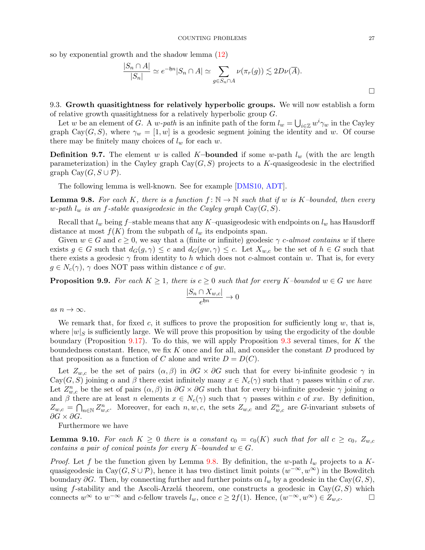so by exponential growth and the shadow lemma [\(12\)](#page-25-1)

$$
\frac{|S_n \cap A|}{|S_n|} \simeq e^{-\mathfrak{h}n} |S_n \cap A| \simeq \sum_{g \in S_n \cap A} \nu(\pi_r(g)) \lesssim 2D\nu(\overline{A}).
$$

9.3. Growth quasitightness for relatively hyperbolic groups. We will now establish a form of relative growth quasitightness for a relatively hyperbolic group G.

Let w be an element of G. A w-path is an infinite path of the form  $l_w = \bigcup_{i \in \mathbb{Z}} w^i \gamma_w$  in the Cayley graph Cay(G, S), where  $\gamma_w = [1, w]$  is a geodesic segment joining the identity and w. Of course there may be finitely many choices of  $l_w$  for each w.

**Definition 9.7.** The element w is called K-bounded if some w-path  $l_w$  (with the arc length parameterization) in the Cayley graph  $Cay(G, S)$  projects to a K-quasigeodesic in the electrified graph  $Cay(G, S \cup P)$ .

The following lemma is well-known. See for example [\[DMS10,](#page-35-24) [ADT\]](#page-34-19).

<span id="page-26-0"></span>**Lemma 9.8.** For each K, there is a function  $f: \mathbb{N} \to \mathbb{N}$  such that if w is K-bounded, then every w-path  $l_w$  is an f-stable quasigeodesic in the Cayley graph  $Cay(G, S)$ .

Recall that  $l_w$  being f-stable means that any K-quasigeodesic with endpoints on  $l_w$  has Hausdorff distance at most  $f(K)$  from the subpath of  $l_w$  its endpoints span.

Given  $w \in G$  and  $c \geq 0$ , we say that a (finite or infinite) geodesic  $\gamma$  c-almost contains w if there exists  $g \in G$  such that  $d_G(g, \gamma) \leq c$  and  $d_G(gw, \gamma) \leq c$ . Let  $X_{w,c}$  be the set of  $h \in G$  such that there exists a geodesic  $\gamma$  from identity to h which does not c-almost contain w. That is, for every  $g \in N_c(\gamma)$ ,  $\gamma$  does NOT pass within distance c of gw.

<span id="page-26-2"></span>**Proposition 9.9.** For each  $K \geq 1$ , there is  $c \geq 0$  such that for every K-bounded  $w \in G$  we have

$$
\frac{|S_n \cap X_{w,c}|}{e^{\mathfrak{h}n}} \to 0
$$

as  $n \to \infty$ .

We remark that, for fixed c, it suffices to prove the proposition for sufficiently long  $w$ , that is, where  $|w|_S$  is sufficiently large. We will prove this proposition by using the ergodicity of the double boundary (Proposition [9.17\)](#page-28-0). To do this, we will apply Proposition [9.3](#page-24-1) several times, for K the boundedness constant. Hence, we fix  $K$  once and for all, and consider the constant  $D$  produced by that proposition as a function of C alone and write  $D = D(C)$ .

Let  $Z_{w,c}$  be the set of pairs  $(\alpha, \beta)$  in  $\partial G \times \partial G$  such that for every bi-infinite geodesic  $\gamma$  in  $Cay(G, S)$  joining  $\alpha$  and  $\beta$  there exist infinitely many  $x \in N_c(\gamma)$  such that  $\gamma$  passes within c of xw. Let  $Z_{w,c}^n$  be the set of pairs  $(\alpha,\beta)$  in  $\partial G \times \partial G$  such that for every bi-infinite geodesic  $\gamma$  joining  $\alpha$ and  $\beta$  there are at least n elements  $x \in N_c(\gamma)$  such that  $\gamma$  passes within c of xw. By definition,  $Z_{w,c} = \bigcap_{n \in \mathbb{N}} Z_{w,c}^n$ . Moreover, for each  $n, w, c$ , the sets  $Z_{w,c}$  and  $Z_{w,c}^n$  are G-invariant subsets of  $\partial G \times \partial G$ .

Furthermore we have

<span id="page-26-1"></span>**Lemma 9.10.** For each  $K \geq 0$  there is a constant  $c_0 = c_0(K)$  such that for all  $c \geq c_0$ ,  $Z_{w,c}$ contains a pair of conical points for every K–bounded  $w \in G$ .

*Proof.* Let f be the function given by Lemma [9.8.](#page-26-0) By definition, the w-path  $l_w$  projects to a Kquasigeodesic in Cay $(G, S \cup P)$ , hence it has two distinct limit points  $(w^{-\infty}, w^{\infty})$  in the Bowditch boundary ∂G. Then, by connecting further and further points on  $l_w$  by a geodesic in the Cay( $G, S$ ), using f-stability and the Ascoli-Arzelá theorem, one constructs a geodesic in  $Cay(G, S)$  which connects  $w^{\infty}$  to  $w^{-\infty}$  and c-fellow travels  $l_w$ , once  $c \geq 2f(1)$ . Hence,  $(w^{-\infty}, w^{\infty}) \in Z_{w,c}$ .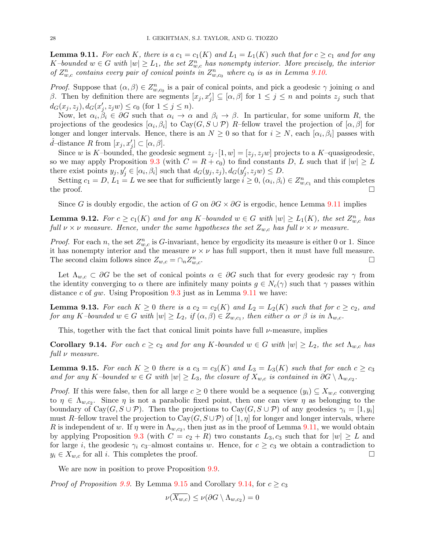<span id="page-27-0"></span>**Lemma 9.11.** For each K, there is a  $c_1 = c_1(K)$  and  $L_1 = L_1(K)$  such that for  $c \geq c_1$  and for any  $K$ -bounded  $w \in G$  with  $|w| \ge L_1$ , the set  $Z_{w,c}^n$  has nonempty interior. More precisely, the interior of  $Z_{w,c}^n$  contains every pair of conical points in  $Z_{w,c_0}^n$  where  $c_0$  is as in Lemma [9.10.](#page-26-1)

*Proof.* Suppose that  $(\alpha, \beta) \in Z_{w,c_0}^n$  is a pair of conical points, and pick a geodesic  $\gamma$  joining  $\alpha$  and β. Then by definition there are segments  $[x_j, x'_j] \subseteq [\alpha, \beta]$  for  $1 \leq j \leq n$  and points  $z_j$  such that  $d_G(x_j, z_j), d_G(x'_j, z_jw) \le c_0$  (for  $1 \le j \le n$ ).

Now, let  $\alpha_i, \beta_i \in \partial G$  such that  $\alpha_i \to \alpha$  and  $\beta_i \to \beta$ . In particular, for some uniform R, the projections of the geodesics  $[\alpha_i, \beta_i]$  to  $\text{Cay}(G, S \cup \mathcal{P})$  R-fellow travel the projection of  $[\alpha, \beta]$  for longer and longer intervals. Hence, there is an  $N \geq 0$  so that for  $i \geq N$ , each  $[\alpha_i, \beta_i]$  passes with  $\hat{d}$ -distance R from  $[x_j, x'_j] \subset [\alpha, \beta]$ .

Since w is K–bounded, the geodesic segment  $z_i \cdot [1, w] = [z_i, z_i w]$  projects to a K–quasigeodesic, so we may apply Proposition [9.3](#page-24-1) (with  $C = R + c_0$ ) to find constants D, L such that if  $|w| \geq L$ there exist points  $y_j, y'_j \in [\alpha_i, \beta_i]$  such that  $d_G(y_j, z_j), d_G(y'_j, z_j w) \le D$ .

Setting  $c_1 = D, L_1 = L$  we see that for sufficiently large  $i \geq 0$ ,  $(\alpha_i, \beta_i) \in Z_{w,c_1}^n$  and this completes the proof.  $\Box$ 

Since G is doubly ergodic, the action of G on  $\partial G \times \partial G$  is ergodic, hence Lemma [9.11](#page-27-0) implies

**Lemma 9.12.** For  $c \geq c_1(K)$  and for any K-bounded  $w \in G$  with  $|w| \geq L_1(K)$ , the set  $Z_{w,c}^n$  has full  $\nu \times \nu$  measure. Hence, under the same hypotheses the set  $Z_{w,c}$  has full  $\nu \times \nu$  measure.

*Proof.* For each n, the set  $Z_{w,c}^n$  is G-invariant, hence by ergodicity its measure is either 0 or 1. Since it has nonempty interior and the measure  $\nu \times \nu$  has full support, then it must have full measure. The second claim follows since  $Z_{w,c} = \cap_n Z_w^n$  $\sum_{w,c}$ .

Let  $\Lambda_{w,c} \subset \partial G$  be the set of conical points  $\alpha \in \partial G$  such that for every geodesic ray  $\gamma$  from the identity converging to  $\alpha$  there are infinitely many points  $g \in N_c(\gamma)$  such that  $\gamma$  passes within distance c of gw. Using Proposition  $9.3$  just as in Lemma  $9.11$  we have:

**Lemma 9.13.** For each  $K \geq 0$  there is a  $c_2 = c_2(K)$  and  $L_2 = L_2(K)$  such that for  $c \geq c_2$ , and for any K-bounded  $w \in G$  with  $|w| \ge L_2$ , if  $(\alpha, \beta) \in Z_{w,c_1}$ , then either  $\alpha$  or  $\beta$  is in  $\Lambda_{w,c}$ .

This, together with the fact that conical limit points have full  $\nu$ -measure, implies

<span id="page-27-2"></span>Corollary 9.14. For each  $c \ge c_2$  and for any K-bounded  $w \in G$  with  $|w| \ge L_2$ , the set  $\Lambda_{w,c}$  has full  $\nu$  measure.

<span id="page-27-1"></span>**Lemma 9.15.** For each  $K \geq 0$  there is a  $c_3 = c_3(K)$  and  $L_3 = L_3(K)$  such that for each  $c \geq c_3$ and for any K–bounded  $w \in G$  with  $|w| \ge L_3$ , the closure of  $X_{w,c}$  is contained in  $\partial G \setminus \Lambda_{w,c_2}$ .

*Proof.* If this were false, then for all large  $c \geq 0$  there would be a sequence  $(y_i) \subseteq X_{w,c}$  converging to  $\eta \in \Lambda_{w,c_2}$ . Since  $\eta$  is not a parabolic fixed point, then one can view  $\eta$  as belonging to the boundary of Cay( $G, S \cup P$ ). Then the projections to Cay( $G, S \cup P$ ) of any geodesics  $\gamma_i = [1, y_i]$ must R–fellow travel the projection to  $Cay(G, S \cup P)$  of  $[1, \eta]$  for longer and longer intervals, where R is independent of w. If  $\eta$  were in  $\Lambda_{w,c_2}$ , then just as in the proof of Lemma [9.11,](#page-27-0) we would obtain by applying Proposition [9.3](#page-24-1) (with  $C = c_2 + R$ ) two constants  $L_3, c_3$  such that for  $|w| \geq L$  and for large i, the geodesic  $\gamma_i$  c<sub>3</sub>–almost contains w. Hence, for  $c \geq c_3$  we obtain a contradiction to  $y_i \in X_{w,c}$  for all i. This completes the proof.

We are now in position to prove Proposition [9.9.](#page-26-2)

*Proof of Proposition [9.9.](#page-26-2)* By Lemma [9.15](#page-27-1) and Corollary [9.14,](#page-27-2) for  $c \geq c_3$ 

$$
\nu(\overline{X_{w,c}}) \leq \nu(\partial G \setminus \Lambda_{w,c_2}) = 0
$$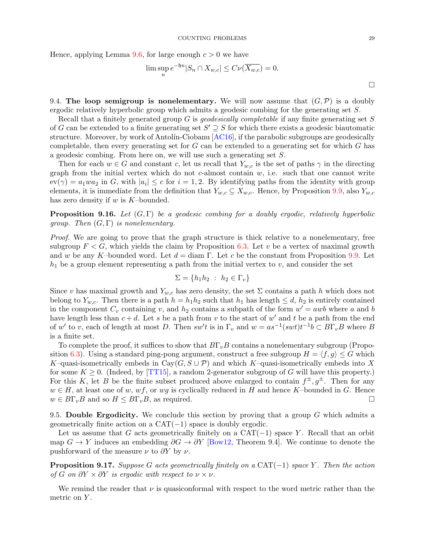Hence, applying Lemma [9.6,](#page-25-2) for large enough  $c > 0$  we have

$$
\limsup_{n} e^{-\mathfrak{h}n} |S_n \cap X_{w,c}| \leq C\nu(\overline{X_{w,c}}) = 0.
$$

9.4. The loop semigroup is nonelementary. We will now assume that  $(G, \mathcal{P})$  is a doubly ergodic relatively hyperbolic group which admits a geodesic combing for the generating set S.

Recall that a finitely generated group G is geodesically completable if any finite generating set S of G can be extended to a finite generating set  $S' \supseteq S$  for which there exists a geodesic biautomatic structure. Moreover, by work of Antolín-Ciobanu  $[AC16]$ , if the parabolic subgroups are geodesically completable, then every generating set for  $G$  can be extended to a generating set for which  $G$  has a geodesic combing. From here on, we will use such a generating set S.

Then for each  $w \in G$  and constant c, let us recall that  $Y_{w,c}$  is the set of paths  $\gamma$  in the directing graph from the initial vertex which do not c-almost contain  $w$ , i.e. such that one cannot write  $ev(\gamma) = a_1wa_2$  in G, with  $|a_i| \leq c$  for  $i = 1, 2$ . By identifying paths from the identity with group elements, it is immediate from the definition that  $Y_{w,c} \subseteq X_{w,c}$ . Hence, by Proposition [9.9,](#page-26-2) also  $Y_{w,c}$ has zero density if  $w$  is  $K$ -bounded.

**Proposition 9.16.** Let  $(G, \Gamma)$  be a geodesic combing for a doubly ergodic, relatively hyperbolic group. Then  $(G, \Gamma)$  is nonelementary.

Proof. We are going to prove that the graph structure is thick relative to a nonelementary, free subgroup  $F < G$ , which yields the claim by Proposition [6.3.](#page-20-0) Let v be a vertex of maximal growth and w be any K–bounded word. Let  $d = \text{diam } \Gamma$ . Let c be the constant from Proposition [9.9.](#page-26-2) Let  $h_1$  be a group element representing a path from the initial vertex to v, and consider the set

$$
\Sigma = \{h_1 h_2 : h_2 \in \Gamma_v\}
$$

Since v has maximal growth and  $Y_{w,c}$  has zero density, the set  $\Sigma$  contains a path h which does not belong to  $Y_{w,c}$ . Then there is a path  $h = h_1 h_2$  such that  $h_1$  has length  $\leq d$ ,  $h_2$  is entirely contained in the component  $C_v$  containing v, and  $h_2$  contains a subpath of the form  $w' = awb$  where a and b have length less than  $c + d$ . Let s be a path from v to the start of w' and t be a path from the end of w' to v, each of length at most D. Then  $sw't$  is in  $\Gamma_v$  and  $w = as^{-1}(swt)t^{-1}b \subset B\Gamma_vB$  where B is a finite set.

To complete the proof, it suffices to show that  $B\Gamma_vB$  contains a nonelementary subgroup (Propo-sition [6.3\)](#page-20-0). Using a standard ping-pong argument, construct a free subgroup  $H = \langle f, g \rangle \leq G$  which K–quasi-isometrically embeds in Cay( $G, S \cup P$ ) and which K–quasi-isometrically embeds into X for some  $K \geq 0$ . (Indeed, by TT15), a random 2-generator subgroup of G will have this property.) For this K, let B be the finite subset produced above enlarged to contain  $f^{\pm}, g^{\pm}$ . Then for any  $w \in H$ , at least one of w, wf, or wq is cyclically reduced in H and hence K–bounded in G. Hence  $w \in B\Gamma_v B$  and so  $H \leq B\Gamma_v B$ , as required.

9.5. Double Ergodicity. We conclude this section by proving that a group  $G$  which admits a geometrically finite action on a  $CAT(-1)$  space is doubly ergodic.

Let us assume that G acts geometrically finitely on a  $CAT(-1)$  space Y. Recall that an orbit map  $G \to Y$  induces an embedding  $\partial G \to \partial Y$  [\[Bow12,](#page-34-0) Theorem 9.4]. We continue to denote the pushforward of the measure  $\nu$  to  $\partial Y$  by  $\nu$ .

<span id="page-28-0"></span>**Proposition 9.17.** Suppose G acts geometrically finitely on a  $CAT(-1)$  space Y. Then the action of G on  $\partial Y \times \partial Y$  is ergodic with respect to  $\nu \times \nu$ .

We remind the reader that  $\nu$  is quasiconformal with respect to the word metric rather than the metric on Y.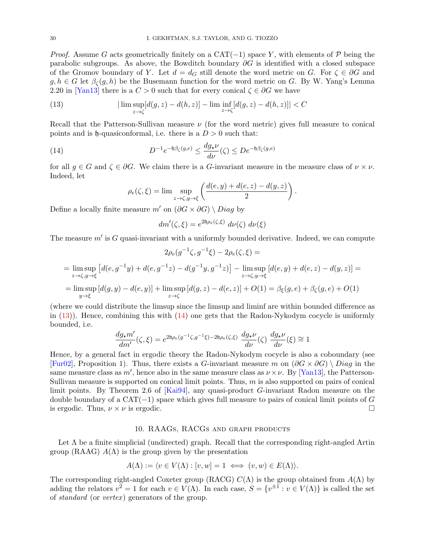*Proof.* Assume G acts geometrically finitely on a CAT(-1) space Y, with elements of P being the parabolic subgroups. As above, the Bowditch boundary  $\partial G$  is identified with a closed subspace of the Gromov boundary of Y. Let  $d = d_G$  still denote the word metric on G. For  $\zeta \in \partial G$  and  $g, h \in G$  let  $\beta_{\zeta}(g, h)$  be the Busemann function for the word metric on G. By W. Yang's Lemma 2.20 in [\[Yan13\]](#page-36-14) there is a  $C > 0$  such that for every conical  $\zeta \in \partial G$  we have

<span id="page-29-1"></span>(13) 
$$
|\limsup_{z \to \zeta} [d(g, z) - d(h, z)] - \liminf_{z \to \zeta} [d(g, z) - d(h, z)]| < C
$$

Recall that the Patterson-Sullivan measure  $\nu$  (for the word metric) gives full measure to conical points and is  $\mathfrak h$ -quasiconformal, i.e. there is a  $D > 0$  such that:

(14) 
$$
D^{-1}e^{-\mathfrak{h}\beta_{\zeta}(g,e)} \leq \frac{dg_{\star}\nu}{d\nu}(\zeta) \leq De^{-\mathfrak{h}\beta_{\zeta}(g,e)}
$$

for all  $g \in G$  and  $\zeta \in \partial G$ . We claim there is a G-invariant measure in the measure class of  $\nu \times \nu$ . Indeed, let

<span id="page-29-2"></span>
$$
\rho_e(\zeta, \xi) = \lim \sup_{z \to \zeta, y \to \xi} \left( \frac{d(e, y) + d(e, z) - d(y, z)}{2} \right).
$$

Define a locally finite measure m' on  $(\partial G \times \partial G) \setminus Diag$  by

$$
dm'(\zeta,\xi) = e^{2\mathfrak{h}\rho_e(\zeta,\xi)} d\nu(\zeta) d\nu(\xi)
$$

The measure  $m'$  is G quasi-invariant with a uniformly bounded derivative. Indeed, we can compute

$$
2\rho_e(g^{-1}\zeta, g^{-1}\xi) - 2\rho_e(\zeta, \xi) =
$$
  
= 
$$
\limsup_{z \to \zeta, y \to \xi} \left[ d(e, g^{-1}y) + d(e, g^{-1}z) - d(g^{-1}y, g^{-1}z) \right] - \limsup_{z \to \zeta, y \to \xi} \left[ d(e, y) + d(e, z) - d(y, z) \right] =
$$
  
= 
$$
\limsup_{y \to \xi} \left[ d(g, y) - d(e, y) \right] + \limsup_{z \to \zeta} \left[ d(g, z) - d(e, z) \right] + O(1) = \beta_{\xi}(g, e) + \beta_{\zeta}(g, e) + O(1)
$$

(where we could distribute the limsup since the limsup and liminf are within bounded difference as in  $(13)$ ). Hence, combining this with  $(14)$  one gets that the Radon-Nykodym cocycle is uniformly bounded, i.e.

$$
\frac{dg_{\star}m'}{dm'}(\zeta,\xi)=e^{2\mathfrak{h}\rho_e(g^{-1}\zeta,g^{-1}\xi)-2\mathfrak{h}\rho_e(\zeta,\xi)}\,\,\frac{dg_{\star}\nu}{d\nu}(\zeta)\,\,\frac{dg_{\star}\nu}{d\nu}(\xi)\cong 1
$$

Hence, by a general fact in ergodic theory the Radon-Nykodym cocycle is also a coboundary (see [\[Fur02\]](#page-35-25), Proposition 1). Thus, there exists a G-invariant measure m on  $(\partial G \times \partial G) \setminus Diag$  in the same measure class as m', hence also in the same measure class as  $\nu \times \nu$ . By [\[Yan13\]](#page-36-14), the Patterson-Sullivan measure is supported on conical limit points. Thus,  $m$  is also supported on pairs of conical limit points. By Theorem 2.6 of [\[Kai94\]](#page-35-26), any quasi-product G-invariant Radon measure on the double boundary of a  $CAT(-1)$  space which gives full measure to pairs of conical limit points of G is ergodic. Thus,  $\nu \times \nu$  is ergodic.

### 10. RAAGs, RACGs and graph products

<span id="page-29-0"></span>Let  $\Lambda$  be a finite simplicial (undirected) graph. Recall that the corresponding right-angled Artin group (RAAG)  $A(\Lambda)$  is the group given by the presentation

$$
A(\Lambda) := \langle v \in V(\Lambda) : [v, w] = 1 \iff (v, w) \in E(\Lambda) \rangle.
$$

The corresponding right-angled Coxeter group (RACG)  $C(\Lambda)$  is the group obtained from  $A(\Lambda)$  by adding the relators  $v^2 = 1$  for each  $v \in V(\Lambda)$ . In each case,  $S = \{v^{\pm 1} : v \in V(\Lambda)\}\$ is called the set of *standard* (or *vertex*) generators of the group.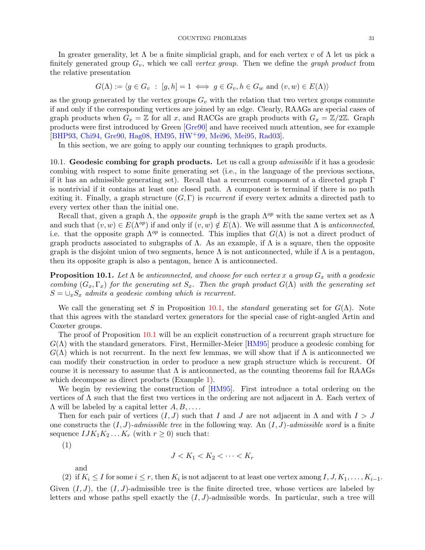In greater generality, let  $\Lambda$  be a finite simplicial graph, and for each vertex v of  $\Lambda$  let us pick a finitely generated group  $G_v$ , which we call vertex group. Then we define the graph product from the relative presentation

$$
G(\Lambda) := \langle g \in G_v : [g, h] = 1 \iff g \in G_v, h \in G_w \text{ and } (v, w) \in E(\Lambda) \rangle
$$

as the group generated by the vertex groups  $G_v$  with the relation that two vertex groups commute if and only if the corresponding vertices are joined by an edge. Clearly, RAAGs are special cases of graph products when  $G_x = \mathbb{Z}$  for all x, and RACGs are graph products with  $G_x = \mathbb{Z}/2\mathbb{Z}$ . Graph products were first introduced by Green [\[Gre90\]](#page-35-27) and have received much attention, see for example [\[BHP93,](#page-34-20) [Chi94,](#page-34-7) [Gre90,](#page-35-27) [Hag08,](#page-35-28) [HM95,](#page-35-8) [HW](#page-35-29)+99, [Mei96,](#page-36-15) [Mei95,](#page-36-16) [Rad03\]](#page-36-17).

In this section, we are going to apply our counting techniques to graph products.

10.1. Geodesic combing for graph products. Let us call a group *admissible* if it has a geodesic combing with respect to some finite generating set (i.e., in the language of the previous sections, if it has an admissible generating set). Recall that a recurrent component of a directed graph Γ is nontrivial if it contains at least one closed path. A component is terminal if there is no path exiting it. Finally, a graph structure  $(G, \Gamma)$  is *recurrent* if every vertex admits a directed path to every vertex other than the initial one.

Recall that, given a graph  $\Lambda$ , the *opposite graph* is the graph  $\Lambda^{op}$  with the same vertex set as  $\Lambda$ and such that  $(v, w) \in E(\Lambda^{op})$  if and only if  $(v, w) \notin E(\Lambda)$ . We will assume that  $\Lambda$  is anticonnected. i.e. that the opposite graph  $\Lambda^{op}$  is connected. This implies that  $G(\Lambda)$  is not a direct product of graph products associated to subgraphs of  $\Lambda$ . As an example, if  $\Lambda$  is a square, then the opposite graph is the disjoint union of two segments, hence  $\Lambda$  is not anticonnected, while if  $\Lambda$  is a pentagon, then its opposite graph is also a pentagon, hence  $\Lambda$  is anticonnected.

<span id="page-30-0"></span>**Proposition 10.1.** Let  $\Lambda$  be anticonnected, and choose for each vertex x a group  $G_x$  with a geodesic combing  $(G_x, \Gamma_x)$  for the generating set  $S_x$ . Then the graph product  $G(\Lambda)$  with the generating set  $S = \bigcup_{x} S_x$  admits a geodesic combing which is recurrent.

We call the generating set S in Proposition [10.1,](#page-30-0) the *standard* generating set for  $G(\Lambda)$ . Note that this agrees with the standard vertex generators for the special case of right-angled Artin and Coxeter groups.

The proof of Proposition [10.1](#page-30-0) will be an explicit construction of a recurrent graph structure for  $G(\Lambda)$  with the standard generators. First, Hermiller-Meier [\[HM95\]](#page-35-8) produce a geodesic combing for  $G(\Lambda)$  which is not recurrent. In the next few lemmas, we will show that if  $\Lambda$  is anticonnected we can modify their construction in order to produce a new graph structure which is reccurent. Of course it is necessary to assume that  $\Lambda$  is anticonnected, as the counting theorems fail for RAAGs which decompose as direct products (Example [1\)](#page-4-0).

We begin by reviewing the construction of [\[HM95\]](#page-35-8). First introduce a total ordering on the vertices of  $\Lambda$  such that the first two vertices in the ordering are not adjacent in  $\Lambda$ . Each vertex of  $\Lambda$  will be labeled by a capital letter  $A, B, \ldots$ .

Then for each pair of vertices  $(I, J)$  such that I and J are not adjacent in  $\Lambda$  and with  $I > J$ one constructs the  $(I, J)$ -admissible tree in the following way. An  $(I, J)$ -admissible word is a finite sequence  $IJK_1K_2...K_r$  (with  $r \geq 0$ ) such that:

(1)

$$
J < K_1 < K_2 < \cdots < K_r
$$

and

(2) if  $K_i \leq I$  for some  $i \leq r$ , then  $K_i$  is not adjacent to at least one vertex among  $I, J, K_1, \ldots, K_{i-1}$ . Given  $(I, J)$ , the  $(I, J)$ -admissible tree is the finite directed tree, whose vertices are labeled by letters and whose paths spell exactly the  $(I, J)$ -admissible words. In particular, such a tree will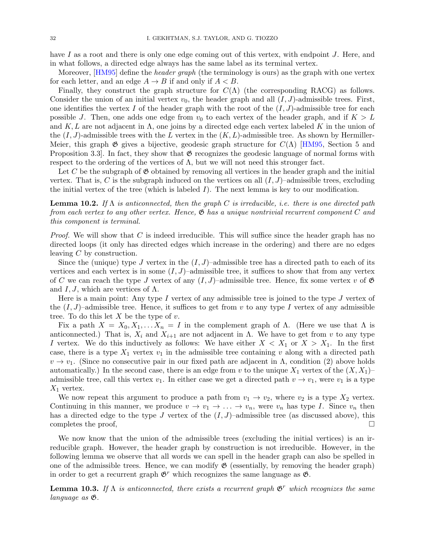have I as a root and there is only one edge coming out of this vertex, with endpoint J. Here, and in what follows, a directed edge always has the same label as its terminal vertex.

Moreover, [\[HM95\]](#page-35-8) define the *header graph* (the terminology is ours) as the graph with one vertex for each letter, and an edge  $A \rightarrow B$  if and only if  $A < B$ .

Finally, they construct the graph structure for  $C(\Lambda)$  (the corresponding RACG) as follows. Consider the union of an initial vertex  $v_0$ , the header graph and all  $(I, J)$ -admissible trees. First, one identifies the vertex I of the header graph with the root of the  $(I, J)$ -admissible tree for each possible J. Then, one adds one edge from  $v_0$  to each vertex of the header graph, and if  $K > L$ and K, L are not adjacent in  $\Lambda$ , one joins by a directed edge each vertex labeled K in the union of the  $(I, J)$ -admissible trees with the L vertex in the  $(K, L)$ -admissible tree. As shown by Hermiller-Meier, this graph  $\mathfrak G$  gives a bijective, geodesic graph structure for  $C(\Lambda)$  [\[HM95,](#page-35-8) Section 5 and Proposition 3.3. In fact, they show that  $\mathfrak G$  recognizes the geodesic language of normal forms with respect to the ordering of the vertices of  $\Lambda$ , but we will not need this stronger fact.

Let C be the subgraph of  $\mathfrak G$  obtained by removing all vertices in the header graph and the initial vertex. That is, C is the subgraph induced on the vertices on all  $(I, J)$ –admissible trees, excluding the initial vertex of the tree (which is labeled  $I$ ). The next lemma is key to our modification.

# **Lemma 10.2.** If  $\Lambda$  is anticonnected, then the graph C is irreducible, i.e. there is one directed path from each vertex to any other vertex. Hence,  $\mathfrak{G}$  has a unique nontrivial recurrent component C and this component is terminal.

*Proof.* We will show that C is indeed irreducible. This will suffice since the header graph has no directed loops (it only has directed edges which increase in the ordering) and there are no edges leaving C by construction.

Since the (unique) type J vertex in the  $(I, J)$ –admissible tree has a directed path to each of its vertices and each vertex is in some  $(I, J)$ –admissible tree, it suffices to show that from any vertex of C we can reach the type J vertex of any  $(I, J)$ –admissible tree. Hence, fix some vertex v of  $\mathfrak{G}$ and I, J, which are vertices of  $\Lambda$ .

Here is a main point: Any type I vertex of any admissible tree is joined to the type I vertex of the  $(I, J)$ –admissible tree. Hence, it suffices to get from v to any type I vertex of any admissible tree. To do this let  $X$  be the type of  $v$ .

Fix a path  $X = X_0, X_1, \ldots X_n = I$  in the complement graph of  $\Lambda$ . (Here we use that  $\Lambda$  is anticonnected.) That is,  $X_i$  and  $X_{i+1}$  are not adjacent in  $\Lambda$ . We have to get from v to any type I vertex. We do this inductively as follows: We have either  $X < X_1$  or  $X > X_1$ . In the first case, there is a type  $X_1$  vertex  $v_1$  in the admissible tree containing v along with a directed path  $v \to v_1$ . (Since no consecutive pair in our fixed path are adjacent in  $\Lambda$ , condition (2) above holds automatically.) In the second case, there is an edge from v to the unique  $X_1$  vertex of the  $(X, X_1)$ admissible tree, call this vertex  $v_1$ . In either case we get a directed path  $v \to v_1$ , were  $v_1$  is a type  $X_1$  vertex.

We now repeat this argument to produce a path from  $v_1 \rightarrow v_2$ , where  $v_2$  is a type  $X_2$  vertex. Continuing in this manner, we produce  $v \to v_1 \to \ldots \to v_n$ , were  $v_n$  has type I. Since  $v_n$  then has a directed edge to the type J vertex of the  $(I, J)$ –admissible tree (as discussed above), this completes the proof,  $\square$ 

We now know that the union of the admissible trees (excluding the initial vertices) is an irreducible graph. However, the header graph by construction is not irreducible. However, in the following lemma we observe that all words we can spell in the header graph can also be spelled in one of the admissible trees. Hence, we can modify  $\mathfrak G$  (essentially, by removing the header graph) in order to get a recurrent graph  $\mathfrak{G}^r$  which recognizes the same language as  $\mathfrak{G}$ .

<span id="page-31-0"></span>**Lemma 10.3.** If  $\Lambda$  is anticonnected, there exists a recurrent graph  $\mathfrak{G}^r$  which recognizes the same language as  $\mathfrak{G}.$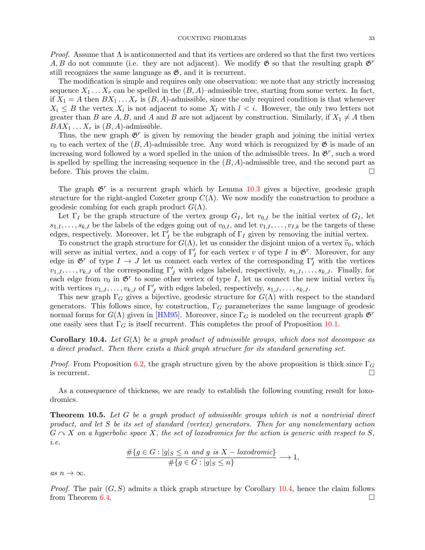*Proof.* Assume that  $\Lambda$  is anticonnected and that its vertices are ordered so that the first two vertices A, B do not commute (i.e. they are not adjacent). We modify  $\mathfrak{G}$  so that the resulting graph  $\mathfrak{G}^r$ 

still recognizes the same language as  $\mathfrak{G}$ , and it is recurrent. The modification is simple and requires only one observation: we note that any strictly increasing sequence  $X_1 \ldots X_r$  can be spelled in the  $(B, A)$ –admissible tree, starting from some vertex. In fact, if  $X_1 = A$  then  $BX_1 \ldots X_r$  is  $(B, A)$ -admissible, since the only required condition is that whenever  $X_i \leq B$  the vertex  $X_i$  is not adjacent to some  $X_l$  with  $l < i$ . However, the only two letters not greater than B are A, B, and A and B are not adjacent by construction. Similarly, if  $X_1 \neq A$  then  $BAX_1 \ldots X_r$  is  $(B, A)$ -admissible.

Thus, the new graph  $\mathfrak{G}^r$  is given by removing the header graph and joining the initial vertex  $v_0$  to each vertex of the  $(B, A)$ -admissible tree. Any word which is recognized by  $\mathfrak{G}$  is made of an increasing word followed by a word spelled in the union of the admissible trees. In  $\mathfrak{G}^r$ , such a word is spelled by spelling the increasing sequence in the  $(B, A)$ -admissible tree, and the second part as before. This proves the claim.

The graph  $\mathfrak{G}^r$  is a recurrent graph which by Lemma [10.3](#page-31-0) gives a bijective, geodesic graph structure for the right-angled Coxeter group  $C(\Lambda)$ . We now modify the construction to produce a geodesic combing for each graph product  $G(\Lambda)$ .

Let  $\Gamma_I$  be the graph structure of the vertex group  $G_I$ , let  $v_{0,I}$  be the initial vertex of  $G_I$ , let  $s_{1,I},\ldots,s_{k,I}$  be the labels of the edges going out of  $v_{0,I}$ , and let  $v_{1,I},\ldots,v_{I,k}$  be the targets of these edges, respectively. Moreover, let  $\Gamma'_I$  be the subgraph of  $\Gamma_I$  given by removing the initial vertex.

To construct the graph structure for  $G(\Lambda)$ , let us consider the disjoint union of a vertex  $\tilde{v}_0$ , which will serve as initial vertex, and a copy of  $\Gamma'_I$  for each vertex v of type I in  $\mathfrak{G}^r$ . Moreover, for any edge in  $\mathfrak{G}^r$  of type  $I \to J$  let us connect each vertex of the corresponding  $\Gamma'_I$  with the vertices  $v_{1,J},\ldots,v_{k,J}$  of the corresponding  $\Gamma'_J$  with edges labeled, respectively,  $s_{1,J},\ldots,s_{k,J}$ . Finally, for each edge from  $v_0$  in  $\mathfrak{G}^r$  to some other vertex of type I, let us connect the new initial vertex  $\widetilde{v}_0$ <br>with vertices  $v_0$ ,  $v_0$  of  $\Gamma'$  with edges labeled respectively  $v_0$ ,  $v_0$ ,  $v_0$ with vertices  $v_{1,J}, \ldots, v_{k,J}$  of  $\Gamma'_J$  with edges labeled, respectively,  $s_{1,J}, \ldots, s_{k,J}$ .

This new graph  $\Gamma_G$  gives a bijective, geodesic structure for  $G(\Lambda)$  with respect to the standard generators. This follows since, by construction,  $\Gamma_G$  parameterizes the same language of geodesic normal forms for  $G(\Lambda)$  given in [\[HM95\]](#page-35-8). Moreover, since  $\Gamma_G$  is modeled on the recurrent graph  $\mathfrak{G}^r$ one easily sees that  $\Gamma_G$  is itself recurrent. This completes the proof of Proposition [10.1.](#page-30-0)

<span id="page-32-1"></span>**Corollary 10.4.** Let  $G(\Lambda)$  be a graph product of admissible groups, which does not decompose as a direct product. Then there exists a thick graph structure for its standard generating set.

*Proof.* From Proposition [6.2,](#page-20-1) the graph structure given by the above proposition is thick since  $\Gamma_G$ is recurrent.  $\Box$ 

As a consequence of thickness, we are ready to establish the following counting result for loxodromics.

<span id="page-32-0"></span>**Theorem 10.5.** Let G be a graph product of admissible groups which is not a nontrivial direct product, and let S be its set of standard (vertex) generators. Then for any nonelementary action  $G \cap X$  on a hyperbolic space X, the set of loxodromics for the action is generic with respect to S, i.e.

$$
\frac{\#\{g \in G : |g|_S \le n \text{ and } g \text{ is } X - \text{locodromic}\}}{\#\{g \in G : |g|_S \le n\}} \longrightarrow 1,
$$

as  $n \to \infty$ .

*Proof.* The pair  $(G, S)$  admits a thick graph structure by Corollary [10.4,](#page-32-1) hence the claim follows from Theorem [6.4.](#page-21-1)  $\Box$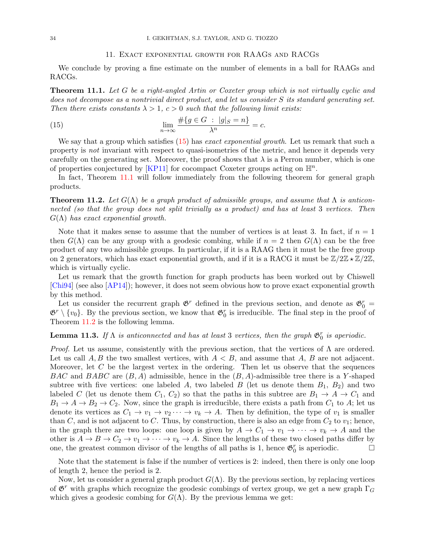### <span id="page-33-1"></span>11. Exact exponential growth for RAAGs and RACGs

We conclude by proving a fine estimate on the number of elements in a ball for RAAGs and RACGs.

<span id="page-33-0"></span>**Theorem 11.1.** Let G be a right-angled Artin or Coxeter group which is not virtually cyclic and does not decompose as a nontrivial direct product, and let us consider S its standard generating set. Then there exists constants  $\lambda > 1$ ,  $c > 0$  such that the following limit exists:

(15) 
$$
\lim_{n \to \infty} \frac{\#\{g \in G \ : \ |g|_S = n\}}{\lambda^n} = c.
$$

We say that a group which satisfies [\(15\)](#page-33-1) has *exact exponential growth*. Let us remark that such a property is not invariant with respect to quasi-isometries of the metric, and hence it depends very carefully on the generating set. Moreover, the proof shows that  $\lambda$  is a Perron number, which is one of properties conjectured by [\[KP11\]](#page-35-30) for cocompact Coxeter groups acting on  $\mathbb{H}^n$ .

In fact, Theorem [11.1](#page-33-0) will follow immediately from the following theorem for general graph products.

<span id="page-33-2"></span>**Theorem 11.2.** Let  $G(\Lambda)$  be a graph product of admissible groups, and assume that  $\Lambda$  is anticonnected (so that the group does not split trivially as a product) and has at least 3 vertices. Then  $G(\Lambda)$  has exact exponential growth.

Note that it makes sense to assume that the number of vertices is at least 3. In fact, if  $n = 1$ then  $G(\Lambda)$  can be any group with a geodesic combing, while if  $n = 2$  then  $G(\Lambda)$  can be the free product of any two admissible groups. In particular, if it is a RAAG then it must be the free group on 2 generators, which has exact exponential growth, and if it is a RACG it must be  $\mathbb{Z}/2\mathbb{Z} \star \mathbb{Z}/2\mathbb{Z}$ , which is virtually cyclic.

Let us remark that the growth function for graph products has been worked out by Chiswell [\[Chi94\]](#page-34-7) (see also [\[AP14\]](#page-34-8)); however, it does not seem obvious how to prove exact exponential growth by this method.

Let us consider the recurrent graph  $\mathfrak{G}^r$  defined in the previous section, and denote as  $\mathfrak{G}^r_0$  =  $\mathfrak{G}^r \setminus \{v_0\}$ . By the previous section, we know that  $\mathfrak{G}^r_0$  is irreducible. The final step in the proof of Theorem [11.2](#page-33-2) is the following lemma.

# **Lemma 11.3.** If  $\Lambda$  is anticonnected and has at least 3 vertices, then the graph  $\mathfrak{G}_0^r$  is aperiodic.

*Proof.* Let us assume, consistently with the previous section, that the vertices of  $\Lambda$  are ordered. Let us call  $A, B$  the two smallest vertices, with  $A < B$ , and assume that A, B are not adjacent. Moreover, let  $C$  be the largest vertex in the ordering. Then let us observe that the sequences BAC and BABC are  $(B, A)$  admissible, hence in the  $(B, A)$ -admissible tree there is a Y-shaped subtree with five vertices: one labeled A, two labeled B (let us denote them  $B_1, B_2$ ) and two labeled C (let us denote them  $C_1, C_2$ ) so that the paths in this subtree are  $B_1 \rightarrow A \rightarrow C_1$  and  $B_1 \rightarrow A \rightarrow B_2 \rightarrow C_2$ . Now, since the graph is irreducible, there exists a path from  $C_1$  to A; let us denote its vertices as  $C_1 \rightarrow v_1 \rightarrow v_2 \cdots \rightarrow v_k \rightarrow A$ . Then by definition, the type of  $v_1$  is smaller than C, and is not adjacent to C. Thus, by construction, there is also an edge from  $C_2$  to  $v_1$ ; hence, in the graph there are two loops: one loop is given by  $A \to C_1 \to v_1 \to \cdots \to v_k \to A$  and the other is  $A \to B \to C_2 \to v_1 \to \cdots \to v_k \to A$ . Since the lengths of these two closed paths differ by one, the greatest common divisor of the lengths of all paths is 1, hence  $\mathfrak{G}^r_0$  is aperiodic.

Note that the statement is false if the number of vertices is 2: indeed, then there is only one loop of length 2, hence the period is 2.

Now, let us consider a general graph product  $G(\Lambda)$ . By the previous section, by replacing vertices of  $\mathfrak{G}^r$  with graphs which recognize the geodesic combings of vertex group, we get a new graph  $\Gamma_G$ which gives a geodesic combing for  $G(\Lambda)$ . By the previous lemma we get: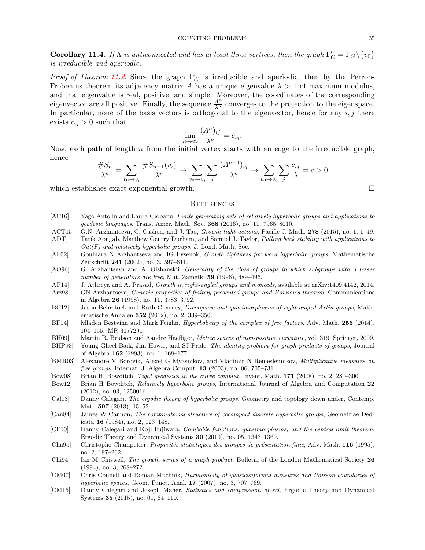**Corollary 11.4.** If  $\Lambda$  is anticonnected and has at least three vertices, then the graph  $\Gamma'_G = \Gamma_G \setminus \{v_0\}$ is irreducible and aperiodic.

*Proof of Theorem [11.2.](#page-33-2)* Since the graph  $\Gamma'_G$  is irreducible and aperiodic, then by the Perron-Frobenius theorem its adjacency matrix A has a unique eigenvalue  $\lambda > 1$  of maximum modulus, and that eigenvalue is real, positive, and simple. Moreover, the coordinates of the corresponding eigenvector are all positive. Finally, the sequence  $\frac{A^n}{\lambda^n}$  converges to the projection to the eigenspace. In particular, none of the basis vectors is orthogonal to the eigenvector, hence for any  $i, j$  there exists  $c_{ij} > 0$  such that

$$
\lim_{n \to \infty} \frac{(A^n)_{ij}}{\lambda^n} = c_{ij}.
$$

Now, each path of length  $n$  from the initial vertex starts with an edge to the irreducible graph, hence

$$
\frac{\#S_n}{\lambda^n} = \sum_{v_0 \to v_i} \frac{\#S_{n-1}(v_i)}{\lambda^n} \to \sum_{v_0 \to v_i} \sum_j \frac{(A^{n-1})_{ij}}{\lambda^n} \to \sum_{v_0 \to v_i} \sum_j \frac{c_{ij}}{\lambda} = c > 0
$$

which establishes exact exponential growth.

### **REFERENCES**

- <span id="page-34-9"></span>[AC16] Yago Antolin and Laura Ciobanu, Finite generating sets of relatively hyperbolic groups and applications to geodesic languages, Trans. Amer. Math. Soc. 368 (2016), no. 11, 7965–8010.
- <span id="page-34-10"></span>[ACT15] G.N. Arzhantseva, C. Cashen, and J. Tao, Growth tight actions, Pacific J. Math. 278 (2015), no. 1, 1–49.
- <span id="page-34-19"></span>[ADT] Tarik Aougab, Matthew Gentry Durham, and Samuel J. Taylor, Pulling back stability with applications to  $Out(F)$  and relatively hyperbolic groups, J. Lond. Math. Soc.
- <span id="page-34-4"></span>[AL02] Goulnara N Arzhantseva and IG Lysenok, Growth tightness for word hyperbolic groups, Mathematische Zeitschrift 241 (2002), no. 3, 597–611.
- <span id="page-34-11"></span>[AO96] G. Arzhantseva and A. Olshanskii, Generality of the class of groups in which subgroups with a lesser number of generators are free, Mat. Zametki 59 (1996), 489–496.
- <span id="page-34-8"></span>[AP14] J. Athreya and A. Prasad, Growth in right-angled groups and monoids, available at arXiv:1409.4142, 2014.
- <span id="page-34-12"></span>[Arz98] GN Arzhantseva, Generic properties of finitely presented groups and Howson's theorem, Communications in Algebra 26 (1998), no. 11, 3783–3792.
- <span id="page-34-6"></span>[BC12] Jason Behrstock and Ruth Charney, Divergence and quasimorphisms of right-angled Artin groups, Mathematische Annalen 352 (2012), no. 2, 339–356.
- <span id="page-34-2"></span>[BF14] Mladen Bestvina and Mark Feighn, Hyperbolicity of the complex of free factors, Adv. Math. 256 (2014), 104–155. MR 3177291
- <span id="page-34-18"></span>[BH09] Martin R. Bridson and Aandre Haefliger, Metric spaces of non-positive curvature, vol. 319, Springer, 2009.
- <span id="page-34-20"></span>[BHP93] Young-Gheel Baik, Jim Howie, and SJ Pride, The identity problem for graph products of groups, Journal of Algebra 162 (1993), no. 1, 168–177.
- <span id="page-34-13"></span>[BMR03] Alexandre V Borovik, Alexei G Myasnikov, and Vladimir N Remeslennikov, Multiplicative measures on free groups, Internat. J. Algebra Comput. **13** (2003), no. 06, 705–731.
- <span id="page-34-1"></span>[Bow08] Brian H. Bowditch, Tight geodesics in the curve complex, Invent. Math. 171 (2008), no. 2, 281–300.
- <span id="page-34-0"></span>[Bow12] Brian H Bowditch, Relatively hyperbolic groups, International Journal of Algebra and Computation 22 (2012), no. 03, 1250016.
- <span id="page-34-17"></span>[Cal13] Danny Calegari, The ergodic theory of hyperbolic groups, Geometry and topology down under, Contemp. Math **597** (2013), 15–52.
- <span id="page-34-5"></span>[Can84] James W Cannon, The combinatorial structure of cocompact discrete hyperbolic groups, Geometriae Dedicata 16 (1984), no. 2, 123–148.
- <span id="page-34-16"></span>[CF10] Danny Calegari and Koji Fujiwara, Combable functions, quasimorphisms, and the central limit theorem, Ergodic Theory and Dynamical Systems 30 (2010), no. 05, 1343–1369.
- <span id="page-34-14"></span>[Cha95] Christophe Champetier, *Propriétés statistiques des groupes de présentation finie*, Adv. Math. 116 (1995), no. 2, 197–262.
- <span id="page-34-7"></span>[Chi94] Ian M Chiswell, The growth series of a graph product, Bulletin of the London Mathematical Society 26 (1994), no. 3, 268–272.
- <span id="page-34-15"></span>[CM07] Chris Connell and Roman Muchnik, Harmonicity of quasiconformal measures and Poisson boundaries of hyperbolic spaces, Geom. Funct. Anal. 17 (2007), no. 3, 707–769.
- <span id="page-34-3"></span>[CM15] Danny Calegari and Joseph Maher, Statistics and compression of scl, Ergodic Theory and Dynamical Systems 35 (2015), no. 01, 64–110.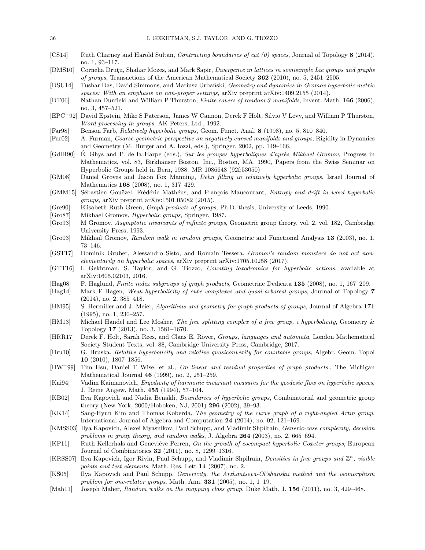- <span id="page-35-9"></span>[CS14] Ruth Charney and Harold Sultan, Contracting boundaries of cat (0) spaces, Journal of Topology 8 (2014), no. 1, 93–117.
- <span id="page-35-24"></span>[DMS10] Cornelia Drutyu, Shahar Mozes, and Mark Sapir, *Divergence in lattices in semisimple Lie groups and graphs* of groups, Transactions of the American Mathematical Society 362 (2010), no. 5, 2451–2505.
- <span id="page-35-20"></span>[DSU14] Tushar Das, David Simmons, and Mariusz Urbański, Geometry and dynamics in Gromov hyperbolic metric spaces: With an emphasis on non-proper settings, arXiv preprint arXiv:1409.2155 (2014).
- <span id="page-35-16"></span>[DT06] Nathan Dunfield and William P Thurston, Finite covers of random 3-manifolds, Invent. Math. 166 (2006), no. 3, 457–521.
- <span id="page-35-17"></span>[EPC<sup>+</sup>92] David Epstein, Mike S Paterson, James W Cannon, Derek F Holt, Silvio V Levy, and William P Thurston, Word processing in groups, AK Peters, Ltd., 1992.
- <span id="page-35-1"></span>[Far98] Benson Farb, Relatively hyperbolic groups, Geom. Funct. Anal. 8 (1998), no. 5, 810–840.
- <span id="page-35-25"></span>[Fur02] A. Furman, Coarse-geometric perspective on negatively curved manifolds and groups, Rigidity in Dynamics and Geometry (M. Burger and A. Iozzi, eds.), Springer, 2002, pp. 149–166.
- <span id="page-35-18"></span>[GdlH90] E. Ghys and P. de la Harpe (eds.), Sur les groupes hyperboliques d'après Mikhael Gromov, Progress in Mathematics, vol. 83, Birkhäuser Boston, Inc., Boston, MA, 1990, Papers from the Swiss Seminar on Hyperbolic Groups held in Bern, 1988. MR 1086648 (92f:53050)
- <span id="page-35-22"></span>[GM08] Daniel Groves and Jason Fox Manning, Dehn filling in relatively hyperbolic groups, Israel Journal of Mathematics 168 (2008), no. 1, 317–429.
- <span id="page-35-7"></span>[GMM15] Sébastien Gouëzel, Frédéric Mathéus, and François Maucourant, Entropy and drift in word hyperbolic groups, arXiv preprint arXiv:1501.05082 (2015).
- <span id="page-35-27"></span>[Gre90] Elisabeth Ruth Green, Graph products of groups, Ph.D. thesis, University of Leeds, 1990.
- <span id="page-35-0"></span>[Gro87] Mikhael Gromov, Hyperbolic groups, Springer, 1987.
- <span id="page-35-11"></span>[Gro93] M Gromov, Asymptotic invariants of infinite groups, Geometric group theory, vol. 2, vol. 182, Cambridge University Press, 1993.
- <span id="page-35-12"></span>[Gro03] Mikhail Gromov, Random walk in random groups, Geometric and Functional Analysis 13 (2003), no. 1, 73–146.
- <span id="page-35-21"></span>[GST17] Dominik Gruber, Alessandro Sisto, and Romain Tessera, Gromov's random monsters do not act nonelementarily on hyperbolic spaces, arXiv preprint arXiv:1705.10258 (2017).
- <span id="page-35-6"></span>[GTT16] I. Gekhtman, S. Taylor, and G. Tiozzo, Counting loxodromics for hyperbolic actions, available at arXiv:1605.02103, 2016.
- <span id="page-35-28"></span>[Hag08] F. Haglund, Finite index subgroups of graph products, Geometriae Dedicata 135 (2008), no. 1, 167–209.
- <span id="page-35-3"></span>[Hag14] Mark F Hagen, Weak hyperbolicity of cube complexes and quasi-arboreal groups, Journal of Topology 7 (2014), no. 2, 385–418.
- <span id="page-35-8"></span>[HM95] S. Hermiller and J. Meier, Algorithms and geometry for graph products of groups, Journal of Algebra 171 (1995), no. 1, 230–257.
- <span id="page-35-4"></span>[HM13] Michael Handel and Lee Mosher, The free splitting complex of a free group, i hyperbolicity, Geometry & Topology 17 (2013), no. 3, 1581–1670.
- <span id="page-35-10"></span>[HRR17] Derek F. Holt, Sarah Rees, and Claas E. Röver, Groups, languages and automata, London Mathematical Society Student Texts, vol. 88, Cambridge University Press, Cambridge, 2017.
- <span id="page-35-23"></span>[Hru10] G. Hruska, Relative hyperbolicity and relative quasiconvexity for countable groups, Algebr. Geom. Topol 10 (2010), 1807–1856.
- <span id="page-35-29"></span>[HW<sup>+</sup>99] Tim Hsu, Daniel T Wise, et al., On linear and residual properties of graph products., The Michigan Mathematical Journal 46 (1999), no. 2, 251–259.
- <span id="page-35-26"></span>[Kai94] Vadim Kaimanovich, Ergodicity of harmonic invariant measures for the geodesic flow on hyperbolic spaces, J. Reine Angew. Math. 455 (1994), 57–104.
- <span id="page-35-19"></span>[KB02] Ilya Kapovich and Nadia Benakli, Boundaries of hyperbolic groups, Combinatorial and geometric group theory (New York, 2000/Hoboken, NJ, 2001) 296 (2002), 39–93.
- <span id="page-35-2"></span>[KK14] Sang-Hyun Kim and Thomas Koberda, The geometry of the curve graph of a right-angled Artin group, International Journal of Algebra and Computation 24 (2014), no. 02, 121–169.
- <span id="page-35-13"></span>[KMSS03] Ilya Kapovich, Alexei Myasnikov, Paul Schupp, and Vladimir Shpilrain, Generic-case complexity, decision problems in group theory, and random walks, J. Algebra 264 (2003), no. 2, 665–694.
- <span id="page-35-30"></span>[KP11] Ruth Kellerhals and Geneviéve Perren, On the growth of cocompact hyperbolic Coxeter groups, European Journal of Combinatorics 32 (2011), no. 8, 1299–1316.
- <span id="page-35-15"></span>[KRSS07] Ilya Kapovich, Igor Rivin, Paul Schupp, and Vladimir Shpilrain, Densities in free groups and  $\mathbb{Z}^n$ , visible points and test elements, Math. Res. Lett 14 (2007), no. 2.
- <span id="page-35-14"></span>[KS05] Ilya Kapovich and Paul Schupp, Genericity, the Arzhantseva-Ol'shanskii method and the isomorphism problem for one-relator groups, Math. Ann.  $331$  (2005), no. 1, 1–19.
- <span id="page-35-5"></span>[Mah11] Joseph Maher, Random walks on the mapping class group, Duke Math. J. 156 (2011), no. 3, 429–468.